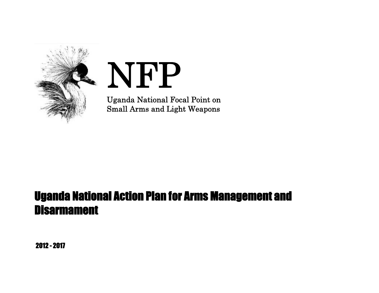

# **NFP**

**Uganda National Focal Point on Small Arms and Light Weapons**

# **Uganda National Action Plan for Arms Management and Disarmament**

**2012 - 2017**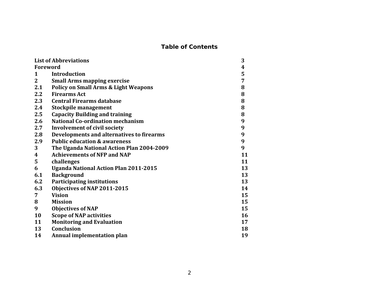# **Table of Contents**

| <b>List of Abbreviations</b>                    | 3  |
|-------------------------------------------------|----|
| <b>Foreword</b>                                 | 4  |
| <b>Introduction</b>                             | 5  |
| <b>Small Arms mapping exercise</b>              | 7  |
| <b>Policy on Small Arms &amp; Light Weapons</b> | 8  |
| <b>Firearms Act</b>                             | 8  |
| <b>Central Firearms database</b>                | 8  |
| <b>Stockpile management</b>                     | 8  |
| <b>Capacity Building and training</b>           | 8  |
| <b>National Co-ordination mechanism</b>         | 9  |
| <b>Involvement of civil society</b>             | 9  |
| Developments and alternatives to firearms       | 9  |
| <b>Public education &amp; awareness</b>         | 9  |
| The Uganda National Action Plan 2004-2009       | 9  |
| <b>Achievements of NFP and NAP</b>              | 11 |
| challenges                                      | 11 |
| <b>Uganda National Action Plan 2011-2015</b>    | 13 |
| <b>Background</b>                               | 13 |
| <b>Participating institutions</b>               | 13 |
| Objectives of NAP 2011-2015                     | 14 |
| <b>Vision</b>                                   | 15 |
| <b>Mission</b>                                  | 15 |
| <b>Objectives of NAP</b>                        | 15 |
| <b>Scope of NAP activities</b>                  | 16 |
| <b>Monitoring and Evaluation</b>                | 17 |
| <b>Conclusion</b>                               | 18 |
| Annual implementation plan                      | 19 |
|                                                 |    |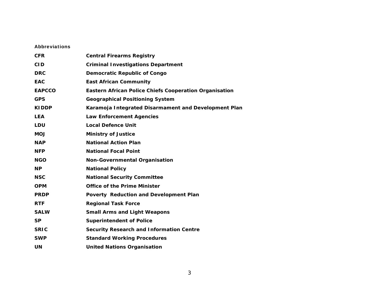#### **Abbreviations**

| <b>CFR</b>    | Central Firearms Registry                              |
|---------------|--------------------------------------------------------|
| <b>CID</b>    | Criminal Investigations Department                     |
| <b>DRC</b>    | Democratic Republic of Congo                           |
| EAC           | East African Community                                 |
| <b>EAPCCO</b> | Eastern African Police Chiefs Cooperation Organisation |
| <b>GPS</b>    | Geographical Positioning System                        |
| KIDDP         | Karamoja Integrated Disarmament and Development Plan   |
| <b>LEA</b>    | Law Enforcement Agencies                               |
| LDU           | Local Defence Unit                                     |
| <b>MOJ</b>    | Ministry of Justice                                    |
| <b>NAP</b>    | National Action Plan                                   |
| <b>NFP</b>    | <b>National Focal Point</b>                            |
| <b>NGO</b>    | Non-Governmental Organisation                          |
| <b>NP</b>     | <b>National Policy</b>                                 |
| <b>NSC</b>    | National Security Committee                            |
| <b>OPM</b>    | Office of the Prime Minister                           |
| <b>PRDP</b>   | Poverty Reduction and Development Plan                 |
| <b>RTF</b>    | <b>Regional Task Force</b>                             |
| <b>SALW</b>   | Small Arms and Light Weapons                           |
| <b>SP</b>     | Superintendent of Police                               |
| <b>SRIC</b>   | Security Research and Information Centre               |
| <b>SWP</b>    | <b>Standard Working Procedures</b>                     |
| UN            | United Nations Organisation                            |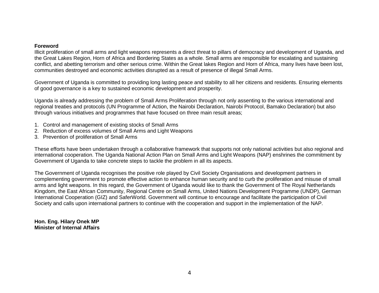#### **Foreword**

Illicit proliferation of small arms and light weapons represents a direct threat to pillars of democracy and development of Uganda, and the Great Lakes Region, Horn of Africa and Bordering States as a whole. Small arms are responsible for escalating and sustaining conflict, and abetting terrorism and other serious crime. Within the Great lakes Region and Horn of Africa, many lives have been lost, communities destroyed and economic activities disrupted as a result of presence of illegal Small Arms.

Government of Uganda is committed to providing long lasting peace and stability to all her citizens and residents. Ensuring elements of good governance is a key to sustained economic development and prosperity.

Uganda is already addressing the problem of Small Arms Proliferation through not only assenting to the various international and regional treaties and protocols (UN Programme of Action, the Nairobi Declaration, Nairobi Protocol, Bamako Declaration) but also through various initiatives and programmes that have focused on three main result areas;

- 1. Control and management of existing stocks of Small Arms
- 2. Reduction of excess volumes of Small Arms and Light Weapons
- 3. Prevention of proliferation of Small Arms

These efforts have been undertaken through a collaborative framework that supports not only national activities but also regional and international cooperation. The Uganda National Action Plan on Small Arms and Light Weapons (NAP) enshrines the commitment by Government of Uganda to take concrete steps to tackle the problem in all its aspects.

The Government of Uganda recognises the positive role played by Civil Society Organisations and development partners in complementing government to promote effective action to enhance human security and to curb the proliferation and misuse of small arms and light weapons. In this regard, the Government of Uganda would like to thank the Government of The Royal Netherlands Kingdom, the East African Community, Regional Centre on Small Arms, United Nations Development Programme (UNDP), German International Cooperation (GIZ) and SaferWorld. Government will continue to encourage and facilitate the participation of Civil Society and calls upon international partners to continue with the cooperation and support in the implementation of the NAP.

**Hon. Eng. Hilary Onek MP Minister of Internal Affairs**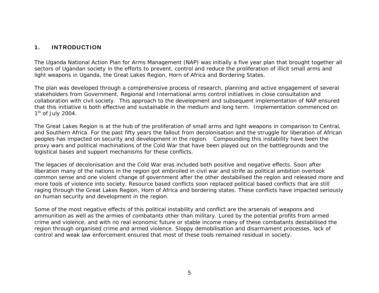# **1. INTRODUCTION**

The Uganda National Action Plan for Arms Management (NAP) was initially a five year plan that brought together all sectors of Ugandan society in the efforts to prevent, control and reduce the proliferation of illicit small arms and light weapons in Uganda, the Great Lakes Region, Horn of Africa and Bordering States.

The plan was developed through a comprehensive process of research, planning and active engagement of several stakeholders from Government, Regional and International arms control initiatives in close consultation and collaboration with civil society. This approach to the development and subsequent implementation of NAP ensured that this initiative is both effective and sustainable in the medium and long term. Implementation commenced on  $1<sup>st</sup>$  of July 2004.

The Great Lakes Region is at the hub of the proliferation of small arms and light weapons in comparison to Central, and Southern Africa. For the past fifty years the fallout from decolonisation and the struggle for liberation of African peoples has impacted on security and development in the region. Compounding this instability have been the proxy wars and political machinations of the Cold War that have been played out on the battlegrounds and the logistical bases and support mechanisms for these conflicts.

The legacies of decolonisation and the Cold War eras included both positive and negative effects. Soon after liberation many of the nations in the region got embroiled in civil war and strife as political ambition overtook common sense and one violent change of government after the other destabilised the region and released more and more tools of violence into society. Resource based conflicts soon replaced political based conflicts that are still raging through the Great Lakes Region, Horn of Africa and bordering states. These conflicts have impacted seriously on human security and development in the region.

Some of the most negative effects of this political instability and conflict are the arsenals of weapons and ammunition as well as the armies of combatants other than military. Lured by the potential profits from armed crime and violence, and with no real economic future or stable income many of these combatants destabilised the region through organised crime and armed violence. Sloppy demobilisation and disarmament processes, lack of control and weak law enforcement ensured that most of these tools remained residual in society.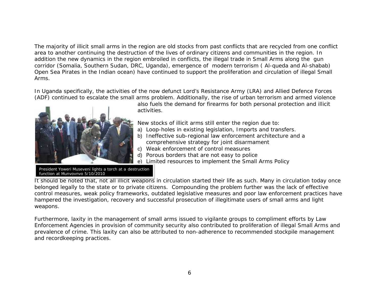The majority of illicit small arms in the region are old stocks from past conflicts that are recycled from one conflict area to another continuing the destruction of the lives of ordinary citizens and communities in the region. In addition the new dynamics in the region embroiled in conflicts, the illegal trade in Small Arms along the gun corridor (Somalia, Southern Sudan, DRC, Uganda), emergence of modern terrorism ( Al-queda and Al-shabab) Open Sea Pirates in the Indian ocean) have continued to support the proliferation and circulation of illegal Small Arms.

In Uganda specifically, the activities of the now defunct Lord's Resistance Army (LRA) and Allied Defence Forces (ADF) continued to escalate the small arms problem. Additionally, the rise of urban terrorism and armed violence



also fuels the demand for firearms for both personal protection and illicit activities.

New stocks of illicit arms still enter the region due to:

- a) Loop-holes in existing legislation, Imports and transfers.
- b) Ineffective sub-regional law enforcement architecture and a comprehensive strategy for joint disarmament
- c) Weak enforcement of control measures
- d) Porous borders that are not easy to police
- e) Limited resources to implement the Small Arms Policy

President Yoweri Museveni lights a torch at a destruction function at Munyoynyo 5/10/2010

It should be noted that, not all illicit weapons in circulation started their life as such. Many in circulation today once belonged legally to the state or to private citizens. Compounding the problem further was the lack of effective control measures, weak policy frameworks, outdated legislative measures and poor law enforcement practices have hampered the investigation, recovery and successful prosecution of illegitimate users of small arms and light weapons.

Furthermore, laxity in the management of small arms issued to vigilante groups to compliment efforts by Law Enforcement Agencies in provision of community security also contributed to proliferation of illegal Small Arms and prevalence of crime. This laxity can also be attributed to non-adherence to recommended stockpile management and recordkeeping practices.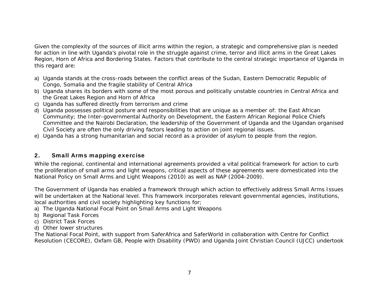Given the complexity of the sources of illicit arms within the region, a strategic and comprehensive plan is needed for action in line with Uganda's pivotal role in the struggle against crime, terror and illicit arms in the Great Lakes Region, Horn of Africa and Bordering States. Factors that contribute to the central strategic importance of Uganda in this regard are:

- a) Uganda stands at the cross-roads between the conflict areas of the Sudan, Eastern Democratic Republic of Congo, Somalia and the fragile stability of Central Africa
- b) Uganda shares its borders with some of the most porous and politically unstable countries in Central Africa and the Great Lakes Region and Horn of Africa
- c) Uganda has suffered directly from terrorism and crime
- d) Uganda possesses political posture and responsibilities that are unique as a member of: the East African Community; the Inter-governmental Authority on Development, the Eastern African Regional Police Chiefs Committee and the Nairobi Declaration, the leadership of the Government of Uganda and the Ugandan organised Civil Society are often the only driving factors leading to action on joint regional issues.
- e) Uganda has a strong humanitarian and social record as a provider of asylum to people from the region.

# **2. Small Arms mapping exercise**

While the regional, continental and international agreements provided a vital political framework for action to curb the proliferation of small arms and light weapons, critical aspects of these agreements were domesticated into the National Policy on Small Arms and Light Weapons (2010) as well as NAP (2004-2009).

The Government of Uganda has enabled a framework through which action to effectively address Small Arms Issues will be undertaken at the National level. This framework incorporates relevant governmental agencies, institutions, local authorities and civil society highlighting key functions for;

- a) The Uganda National Focal Point on Small Arms and Light Weapons
- b) Regional Task Forces
- c) District Task Forces
- d) Other lower structures

The National Focal Point, with support from SaferAfrica and SaferWorld in collaboration with Centre for Conflict Resolution (CECORE), Oxfam GB, People with Disability (PWD) and Uganda Joint Christian Council (UJCC) undertook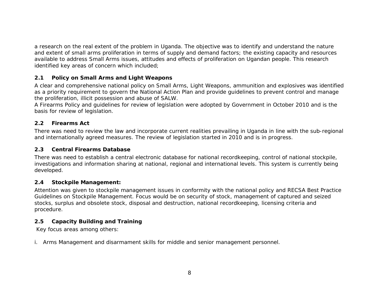a research on the real extent of the problem in Uganda. The objective was to identify and understand the nature and extent of small arms proliferation in terms of supply and demand factors; the existing capacity and resources available to address Small Arms issues, attitudes and effects of proliferation on Ugandan people. This research identified key areas of concern which included;

#### *2.1 Policy on Small Arms and Light Weapons*

A clear and comprehensive national policy on Small Arms, Light Weapons, ammunition and explosives was identified as a priority requirement to govern the National Action Plan and provide guidelines to prevent control and manage the proliferation, illicit possession and abuse of SALW.

A Firearms Policy and guidelines for review of legislation were adopted by Government in October 2010 and is the basis for review of legislation.

#### *2.2 Firearms Act*

There was need to review the law and incorporate current realities prevailing in Uganda in line with the sub-regional and internationally agreed measures. The review of legislation started in 2010 and is in progress.

#### *2.3 Central Firearms Database*

There was need to establish a central electronic database for national recordkeeping, control of national stockpile, investigations and information sharing at national, regional and international levels. This system is currently being developed.

#### *2.4 Stockpile Management:*

Attention was given to stockpile management issues in conformity with the national policy and RECSA Best Practice Guidelines on Stockpile Management. Focus would be on security of stock, management of captured and seized stocks, surplus and obsolete stock, disposal and destruction, national recordkeeping, licensing criteria and procedure.

#### *2.5 Capacity Building and Training*

Key focus areas among others:

i. Arms Management and disarmament skills for middle and senior management personnel.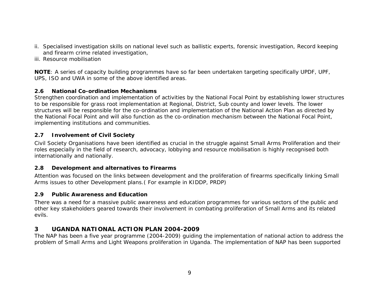- ii. Specialised investigation skills on national level such as ballistic experts, forensic investigation, Record keeping and firearm crime related investigation,
- iii. Resource mobilisation

**NOTE**: A series of capacity building programmes have so far been undertaken targeting specifically UPDF, UPF, UPS, ISO and UWA in some of the above identified areas.

#### *2.6 National Co-ordination Mechanisms*

Strengthen coordination and implementation of activities by the National Focal Point by establishing lower structures to be responsible for grass root implementation at Regional, District, Sub county and lower levels. The lower structures will be responsible for the co-ordination and implementation of the National Action Plan as directed by the National Focal Point and will also function as the co-ordination mechanism between the National Focal Point, implementing institutions and communities.

#### *2.7 Involvement of Civil Society*

Civil Society Organisations have been identified as crucial in the struggle against Small Arms Proliferation and their roles especially in the field of research, advocacy, lobbying and resource mobilisation is highly recognised both internationally and nationally.

#### *2.8 Development and alternatives to Firearms*

Attention was focused on the links between development and the proliferation of firearms specifically linking Small Arms issues to other Development plans.( For example in KIDDP, PRDP)

#### *2.9 Public Awareness and Education*

There was a need for a massive public awareness and education programmes for various sectors of the public and other key stakeholders geared towards their involvement in combating proliferation of Small Arms and its related evils.

#### **3 UGANDA NATIONAL ACTION PLAN 2004-2009**

The NAP has been a five year programme (2004-2009) guiding the implementation of national action to address the problem of Small Arms and Light Weapons proliferation in Uganda. The implementation of NAP has been supported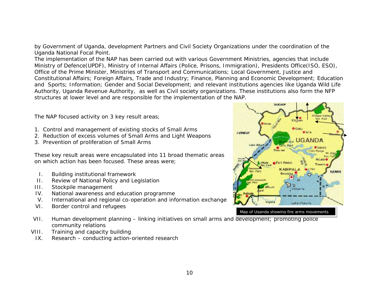by Government of Uganda, development Partners and Civil Society Organizations under the coordination of the Uganda National Focal Point.

The implementation of the NAP has been carried out with various Government Ministries, agencies that include Ministry of Defence(UPDF), Ministry of Internal Affairs (Police, Prisons, Immigration), Presidents Office(ISO, ESO), Office of the Prime Minister, Ministries of Transport and Communications; Local Government, Justice and Constitutional Affairs; Foreign Affairs, Trade and Industry; Finance, Planning and Economic Development; Education and Sports; Information; Gender and Social Development; and relevant institutions agencies like Uganda Wild Life Authority, Uganda Revenue Authority, as well as Civil society organizations. These institutions also form the NFP structures at lower level and are responsible for the implementation of the NAP.

The NAP focused activity on 3 key result areas;

- 1. Control and management of existing stocks of Small Arms
- 2. Reduction of excess volumes of Small Arms and Light Weapons
- 3. Prevention of proliferation of Small Arms

These key result areas were encapsulated into 11 broad thematic areas on which action has been focused. These areas were;

- I. Building institutional framework
- II. Review of National Policy and Legislation
- III. Stockpile management
- IV. National awareness and education programme
- V. International and regional co-operation and information exchange
- VI. Border control and refugees
- VII. Human development planning linking initiatives on small arms and development; promoting police community relations
- VIII. Training and capacity building
- IX. Research conducting action-oriented research

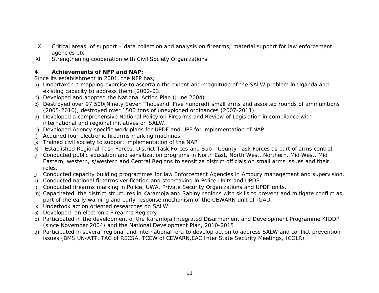- X. Critical areas of support data collection and analysis on firearms; material support for law enforcement agencies etc
- XI. Strengthening cooperation with Civil Society Organizations
- **4 Achievements of NFP and NAP:**

Since its establishment in 2001, the NFP has;

- a) Undertaken a mapping exercise to ascertain the extent and magnitude of the SALW problem in Uganda and existing capacity to address them (2002-03.
- b) Developed and adopted the National Action Plan (June 2004)
- c) Destroyed over 97,500(Ninety Seven Thousand, Five hundred) small arms and assorted rounds of ammunitions (2005-2010), destroyed over 1500 tons of unexploded ordinances (2007-2011)
- d) Developed a comprehensive National Policy on Firearms and Review of Legislation in compliance with international and regional initiatives on SALW.
- e) Developed Agency specific work plans for UPDF and UPF for implementation of NAP.
- f) Acquired four electronic firearms marking machines.
- *g)* Trained civil society to support implementation of the NAP
- *h)* Established Regional Task Forces, District Task Forces and Sub County Task Forces as part of arms control.
- *i)* Conducted public education and sensitization programs in North East, North West, Northern, Mid West, Mid Eastern, western, s/western and Central Regions to sensitize district officials on small arms issues and their roles.
- *j)* Conducted capacity building programmes for law Enforcement Agencies in Amoury management and supervision.
- *k)* Conducted national firearms verification and stocktaking in Police Units and UPDF.
- l) Conducted firearms marking in Police, UWA, Private Security Organizations and UPDF units.
- m) Capacitated the district structures in Karamoja and Sabiny regions with skills to prevent and mitigate conflict as part of the early warning and early response mechanism of the CEWARN unit of IGAD
- *n)* Undertook action oriented researches on SALW
- *o)* Developed an electronic Firearms Registry
- p) Participated in the development of the Karamoja Integrated Disarmament and Development Programme KIDDP (since November 2004) and the National Development Plan, 2010-2015
- q) Participated in several regional and international fora to develop action to address SALW and conflict prevention issues.(BMS,UN-ATT, TAC of RECSA, TCEW of CEWARN,EAC Inter State Security Meetings, ICGLR)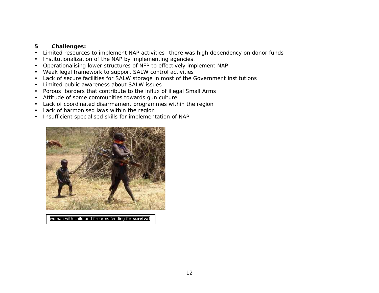- **5 Challenges:**
- Limited resources to implement NAP activities- there was high dependency on donor funds
- Institutionalization of the NAP by implementing agencies.
- Operationalising lower structures of NFP to effectively implement NAP
- Weak legal framework to support SALW control activities
- Lack of secure facilities for SALW storage in most of the Government institutions
- Limited public awareness about SALW issues
- Porous borders that contribute to the influx of illegal Small Arms
- Attitude of some communities towards gun culture
- Lack of coordinated disarmament programmes within the region
- Lack of harmonised laws within the region
- Insufficient specialised skills for implementation of NAP



woman with child and firearms fending for **survival**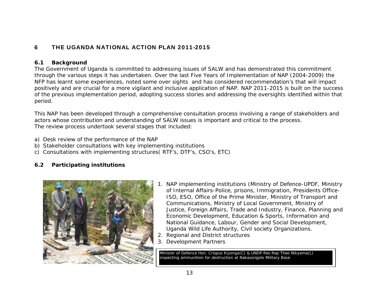# **6 THE UGANDA NATIONAL ACTION PLAN 2011-2015**

#### **6.1 Background**

The Government of Uganda is committed to addressing issues of SALW and has demonstrated this commitment through the various steps it has undertaken. Over the last Five Years of Implementation of NAP (2004-2009) the NFP has learnt some experiences, noted some over sights and has considered recommendation's that will impact positively and are crucial for a more vigilant and inclusive application of NAP. NAP 2011-2015 is built on the success of the previous implementation period, adopting success stories and addressing the oversights identified within that period.

This NAP has been developed through a comprehensive consultation process involving a range of stakeholders and actors whose contribution and understanding of SALW issues is important and critical to the process. The review process undertook several stages that included:

- a) Desk review of the performance of the NAP
- b) Stakeholder consultations with key implementing institutions
- c) Consultations with implementing structures( RTF's, DTF's, CSO's, ETC)

# **6.2 Participating institutions**



- 1. NAP implementing institutions (Ministry of Defence-UPDF, Ministry of Internal Affairs-Police, prisons, Immigration, Presidents Office-ISO, ESO, Office of the Prime Minister, Ministry of Transport and Communications, Ministry of Local Government, Ministry of Justice, Foreign Affairs, Trade and Industry, Finance, Planning and Economic Development, Education & Sports, Information and National Guidance, Labour, Gender and Social Development, Uganda Wild Life Authority, Civil society Organizations.
- 2. Regional and District structures
- 3. Development Partners

Minister of Defence Hon. Crispus Kiyonga(C) & UNDP Res Rep Theo Nikyema(L) inspecting ammunition for destruction at Nakasongolo Military Base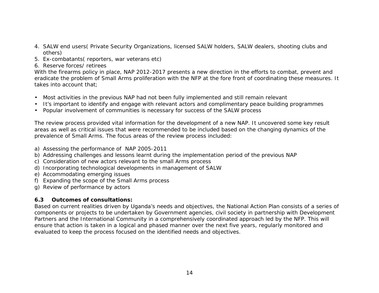- 4. SALW end users( Private Security Organizations, licensed SALW holders, SALW dealers, shooting clubs and others)
- 5. Ex-combatants( reporters, war veterans etc)
- 6. Reserve forces/ retirees

With the firearms policy in place, NAP 2012-2017 presents a new direction in the efforts to combat, prevent and eradicate the problem of Small Arms proliferation with the NFP at the fore front of coordinating these measures. It takes into account that;

- Most activities in the previous NAP had not been fully implemented and still remain relevant
- It's important to identify and engage with relevant actors and complimentary peace building programmes
- Popular involvement of communities is necessary for success of the SALW process

The review process provided vital information for the development of a new NAP. It uncovered some key result areas as well as critical issues that were recommended to be included based on the changing dynamics of the prevalence of Small Arms. The focus areas of the review process included:

- a) Assessing the performance of NAP 2005-2011
- b) Addressing challenges and lessons learnt during the implementation period of the previous NAP
- c) Consideration of new actors relevant to the small Arms process
- d) Incorporating technological developments in management of SALW
- e) Accommodating emerging issues
- f) Expanding the scope of the Small Arms process
- g) Review of performance by actors

# **6.3 Outcomes of consultations:**

Based on current realities driven by Uganda's needs and objectives, the National Action Plan consists of a series of components or projects to be undertaken by Government agencies, civil society in partnership with Development Partners and the International Community in a comprehensively coordinated approach led by the NFP. This will ensure that action is taken in a logical and phased manner over the next five years, regularly monitored and evaluated to keep the process focused on the identified needs and objectives.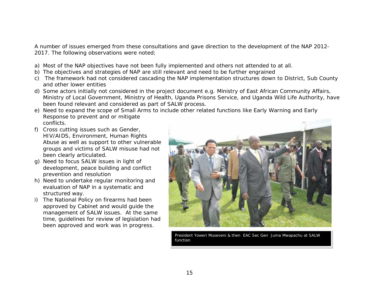A number of issues emerged from these consultations and gave direction to the development of the NAP 2012- 2017. The following observations were noted;

- a) Most of the NAP objectives have not been fully implemented and others not attended to at all.
- b) The objectives and strategies of NAP are still relevant and need to be further engrained
- c) The framework had not considered cascading the NAP implementation structures down to District, Sub County and other lower entities
- d) Some actors initially not considered in the project document e.g. Ministry of East African Community Affairs, Ministry of Local Government, Ministry of Health, Uganda Prisons Service, and Uganda Wild Life Authority, have been found relevant and considered as part of SALW process.
- e) Need to expand the scope of Small Arms to include other related functions like Early Warning and Early Response to prevent and or mitigate conflicts.
- f) Cross cutting issues such as Gender, HIV/AIDS, Environment, Human Rights Abuse as well as support to other vulnerable groups and victims of SALW misuse had not been clearly articulated.
- g) Need to focus SALW issues in light of development, peace building and conflict prevention and resolution
- h) Need to undertake regular monitoring and evaluation of NAP in a systematic and structured way.
- i) The National Policy on firearms had been approved by Cabinet and would guide the management of SALW issues. At the same time, guidelines for review of legislation had been approved and work was in progress.



President Yoweri Museveni & then EAC Sec Gen Juma Mwapachu at SALW function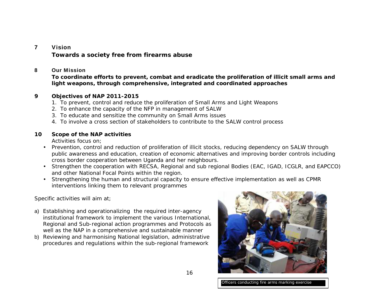#### **7 Vision**

*Towards a society free from firearms abuse*

#### **8 Our Mission**

*To coordinate efforts to prevent, combat and eradicate the proliferation of illicit small arms and light weapons, through comprehensive, integrated and coordinated approaches*

- **9 Objectives of NAP 2011-2015**
	- 1. To prevent, control and reduce the proliferation of Small Arms and Light Weapons
	- 2. To enhance the capacity of the NFP in management of SALW
	- 3. To educate and sensitize the community on Small Arms issues
	- 4. To involve a cross section of stakeholders to contribute to the SALW control process
- **10 Scope of the NAP activities** Activities focus on;
	- Prevention, control and reduction of proliferation of illicit stocks, reducing dependency on SALW through public awareness and education, creation of economic alternatives and improving border controls including cross border cooperation between Uganda and her neighbours.
	- Strengthen the cooperation with RECSA, Regional and sub regional Bodies (EAC, IGAD, ICGLR, and EAPCCO) and other National Focal Points within the region.
	- Strengthening the human and structural capacity to ensure effective implementation as well as CPMR interventions linking them to relevant programmes

Specific activities will aim at;

- a) Establishing and operationalizing the required inter-agency institutional framework to implement the various International, Regional and Sub-regional action programmes and Protocols as well as the NAP in a comprehensive and sustainable manner
- b) Reviewing and harmonising National legislation, administrative procedures and regulations within the sub-regional framework

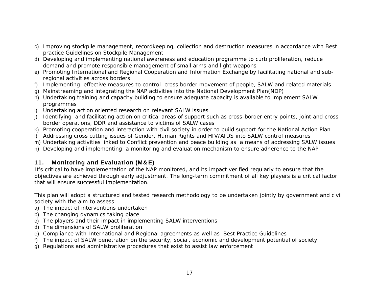- c) Improving stockpile management, recordkeeping, collection and destruction measures in accordance with Best practice Guidelines on Stockpile Management
- d) Developing and implementing national awareness and education programme to curb proliferation, reduce demand and promote responsible management of small arms and light weapons
- e) Promoting International and Regional Cooperation and Information Exchange by facilitating national and subregional activities across borders
- f) Implementing effective measures to control cross border movement of people, SALW and related materials
- g) Mainstreaming and integrating the NAP activities into the National Development Plan(NDP)
- h) Undertaking training and capacity building to ensure adequate capacity is available to implement SALW programmes
- i) Undertaking action oriented research on relevant SALW issues
- j) Identifying and facilitating action on critical areas of support such as cross-border entry points, joint and cross border operations, DDR and assistance to victims of SALW cases
- k) Promoting cooperation and interaction with civil society in order to build support for the National Action Plan
- l) Addressing cross cutting issues of Gender, Human Rights and HIV/AIDS into SALW control measures
- m) Undertaking activities linked to Conflict prevention and peace building as a means of addressing SALW issues
- n) Developing and implementing a monitoring and evaluation mechanism to ensure adherence to the NAP

# **11. Monitoring and Evaluation (M&E)**

It's critical to have implementation of the NAP monitored, and its impact verified regularly to ensure that the objectives are achieved through early adjustment. The long-term commitment of all key players is a critical factor that will ensure successful implementation.

This plan will adopt a structured and tested research methodology to be undertaken jointly by government and civil society with the aim to assess:

- a) The impact of interventions undertaken
- b) The changing dynamics taking place
- c) The players and their impact in implementing SALW interventions
- d) The dimensions of SALW proliferation
- e) Compliance with International and Regional agreements as well as Best Practice Guidelines
- f) The impact of SALW penetration on the security, social, economic and development potential of society
- g) Regulations and administrative procedures that exist to assist law enforcement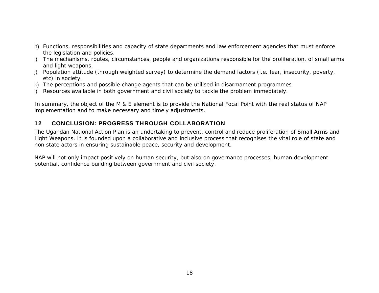- h) Functions, responsibilities and capacity of state departments and law enforcement agencies that must enforce the legislation and policies.
- i) The mechanisms, routes, circumstances, people and organizations responsible for the proliferation, of small arms and light weapons.
- j) Population attitude (through weighted survey) to determine the demand factors (i.e. fear, insecurity, poverty, etc) in society.
- k) The perceptions and possible change agents that can be utilised in disarmament programmes
- l) Resources available in both government and civil society to tackle the problem immediately.

In summary, the object of the M & E element is to provide the National Focal Point with the real status of NAP implementation and to make necessary and timely adjustments.

# **12 CONCLUSION: PROGRESS THROUGH COLLABORATION**

The Ugandan National Action Plan is an undertaking to prevent, control and reduce proliferation of Small Arms and Light Weapons. It is founded upon a collaborative and inclusive process that recognises the vital role of state and non state actors in ensuring sustainable peace, security and development.

NAP will not only impact positively on human security, but also on governance processes, human development potential, confidence building between government and civil society.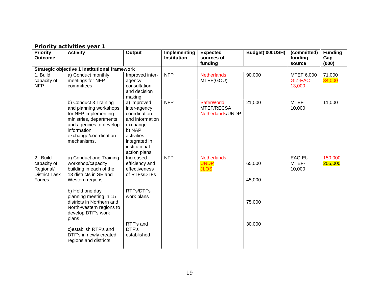| <b>Priority</b><br><b>Outcome</b>                                      | $\frac{1}{2}$ . The ratio decreases to $\frac{1}{2}$<br><b>Activity</b>                                                                                                              | Output                                                                                                                                               | Implementing<br><b>Institution</b> | <b>Expected</b><br>sources of<br>funding            | Budget('000USH)  | (committed)<br>funding<br>source       | <b>Funding</b><br>Gap<br>(000) |
|------------------------------------------------------------------------|--------------------------------------------------------------------------------------------------------------------------------------------------------------------------------------|------------------------------------------------------------------------------------------------------------------------------------------------------|------------------------------------|-----------------------------------------------------|------------------|----------------------------------------|--------------------------------|
|                                                                        | <b>Strategic objective 1 Institutional framework</b>                                                                                                                                 |                                                                                                                                                      |                                    |                                                     |                  |                                        |                                |
| 1. Build<br>capacity of<br><b>NFP</b>                                  | a) Conduct monthly<br>meetings for NFP<br>committees                                                                                                                                 | Improved inter-<br>agency<br>consultation<br>and decision<br>making                                                                                  | <b>NFP</b>                         | <b>Netherlands</b><br>MTEF(GOU)                     | 90,000           | MTEF 6,000<br><b>GIZ-EAC</b><br>13,000 | 71,000<br>84,000               |
|                                                                        | b) Conduct 3 Training<br>and planning workshops<br>for NFP implementing<br>ministries, departments<br>and agencies to develop<br>information<br>exchange/coordination<br>mechanisms. | a) improved<br>inter-agency<br>coordination<br>and information<br>exchange<br>b) NAP<br>activities<br>integrated in<br>institutional<br>action plans | <b>NFP</b>                         | <b>SaferWorld</b><br>MTEF/RECSA<br>Netherlands/UNDP | 21,000           | <b>MTEF</b><br>10,000                  | 11,000                         |
| 2. Build<br>capacity of<br>Regional/<br><b>District Task</b><br>Forces | a) Conduct one Training<br>workshop/capacity<br>building in each of the<br>13 districts in SE and<br>Western regions.                                                                | Increased<br>efficiency and<br>effectiveness<br>of RTFs/DTFs                                                                                         | <b>NFP</b>                         | <b>Netherlands</b><br><b>UNDP</b><br><b>JLOS</b>    | 65,000<br>45,000 | EAC-EU<br>MTEF-<br>10,000              | 150,000<br>205,000             |
|                                                                        | b) Hold one day<br>planning meeting in 15<br>districts in Northern and<br>North-western regions to<br>develop DTF's work<br>plans                                                    | RTFs/DTFs<br>work plans                                                                                                                              |                                    |                                                     | 75,000           |                                        |                                |
|                                                                        | c) establish RTF's and<br>DTF's in newly created<br>regions and districts                                                                                                            | RTF's and<br>DTF's<br>established                                                                                                                    |                                    |                                                     | 30,000           |                                        |                                |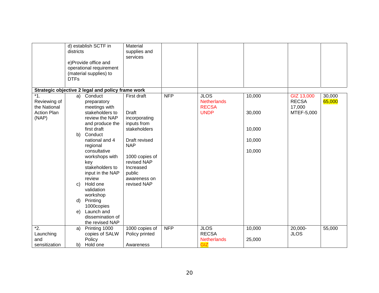|                                                                      | districts<br><b>DTFs</b> | d) establish SCTF in<br>e)Provide office and<br>operational requirement<br>(material supplies) to                                                                                                                                                                                                      | Material<br>supplies and<br>services                                                                                                                                                       |            |                                                                  |                                                |                                                    |                  |
|----------------------------------------------------------------------|--------------------------|--------------------------------------------------------------------------------------------------------------------------------------------------------------------------------------------------------------------------------------------------------------------------------------------------------|--------------------------------------------------------------------------------------------------------------------------------------------------------------------------------------------|------------|------------------------------------------------------------------|------------------------------------------------|----------------------------------------------------|------------------|
|                                                                      |                          | Strategic objective 2 legal and policy frame work                                                                                                                                                                                                                                                      |                                                                                                                                                                                            |            |                                                                  |                                                |                                                    |                  |
| $*1.$<br>Reviewing of<br>the National<br><b>Action Plan</b><br>(NAP) | b)<br>C)<br>$\mathsf{d}$ | a) Conduct<br>preparatory<br>meetings with<br>stakeholders to<br>review the NAP<br>and produce the<br>first draft<br>Conduct<br>national and 4<br>regional<br>consultative<br>workshops with<br>key<br>stakeholders to<br>input in the NAP<br>review<br>Hold one<br>validation<br>workshop<br>Printing | First draft<br>Draft<br>incorporating<br>inputs from<br>stakeholders<br>Draft revised<br><b>NAP</b><br>1000 copies of<br>revised NAP<br>Increased<br>public<br>awareness on<br>revised NAP | <b>NFP</b> | <b>JLOS</b><br><b>Netherlands</b><br><b>RECSA</b><br><b>UNDP</b> | 10,000<br>30,000<br>10,000<br>10,000<br>10,000 | GIZ 13,000<br><b>RECSA</b><br>17,000<br>MTEF-5,000 | 30,000<br>65,000 |
|                                                                      | e)                       | 1000copies<br>Launch and                                                                                                                                                                                                                                                                               |                                                                                                                                                                                            |            |                                                                  |                                                |                                                    |                  |
|                                                                      |                          | dissemination of<br>the revised NAP                                                                                                                                                                                                                                                                    |                                                                                                                                                                                            |            |                                                                  |                                                |                                                    |                  |
| $\overline{2}$ .                                                     | a)                       | Printing 1000                                                                                                                                                                                                                                                                                          | 1000 copies of                                                                                                                                                                             | <b>NFP</b> | <b>JLOS</b>                                                      | 10,000                                         | 20,000-                                            | 55,000           |
| Launching                                                            |                          | copies of SALW                                                                                                                                                                                                                                                                                         | Policy printed                                                                                                                                                                             |            | <b>RECSA</b>                                                     |                                                | <b>JLOS</b>                                        |                  |
| and<br>sensitization                                                 | b)                       | Policy<br>Hold one                                                                                                                                                                                                                                                                                     | Awareness                                                                                                                                                                                  |            | <b>Netherlands</b><br>GIZ                                        | 25,000                                         |                                                    |                  |
|                                                                      |                          |                                                                                                                                                                                                                                                                                                        |                                                                                                                                                                                            |            |                                                                  |                                                |                                                    |                  |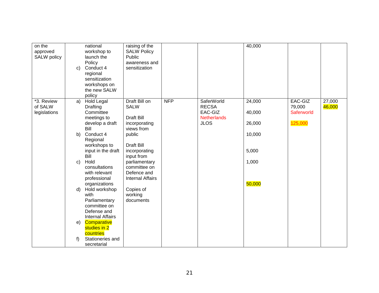| on the<br>approved<br>SALW policy     | $\mathbf{c}$ | national<br>workshop to<br>launch the<br>Policy<br>Conduct 4<br>regional<br>sensitization<br>workshops on<br>the new SALW<br>policy | raising of the<br><b>SALW Policy</b><br>Public<br>awareness and<br>sensitization |            |                                                                            | 40,000                     |                                            |                  |
|---------------------------------------|--------------|-------------------------------------------------------------------------------------------------------------------------------------|----------------------------------------------------------------------------------|------------|----------------------------------------------------------------------------|----------------------------|--------------------------------------------|------------------|
| *3. Review<br>of SALW<br>legislations | a)           | <b>Hold Legal</b><br>Drafting<br>Committee<br>meetings to<br>develop a draft<br>Bill                                                | Draft Bill on<br><b>SALW</b><br><b>Draft Bill</b><br>incorporating<br>views from | <b>NFP</b> | SaferWorld<br><b>RECSA</b><br>EAC-GIZ<br><b>Netherlands</b><br><b>JLOS</b> | 24,000<br>40,000<br>26,000 | EAC-GIZ<br>79,000<br>Saferworld<br>125,000 | 27,000<br>46,000 |
|                                       | b)           | Conduct 4<br>Regional<br>workshops to                                                                                               | public<br><b>Draft Bill</b>                                                      |            |                                                                            | 10,000                     |                                            |                  |
|                                       | C)           | input in the draft<br>Bill<br>Hold<br>consultations<br>with relevant                                                                | incorporating<br>input from<br>parliamentary<br>committee on<br>Defence and      |            |                                                                            | 5,000<br>1,000             |                                            |                  |
|                                       | d)           | professional<br>organizations<br>Hold workshop<br>with<br>Parliamentary<br>committee on<br>Defense and                              | <b>Internal Affairs</b><br>Copies of<br>working<br>documents                     |            |                                                                            | 50,000                     |                                            |                  |
|                                       | e)<br>f)     | <b>Internal Affairs</b><br>Comparative<br>studies in 2<br>countries<br>Stationeries and                                             |                                                                                  |            |                                                                            |                            |                                            |                  |
|                                       |              | secretarial                                                                                                                         |                                                                                  |            |                                                                            |                            |                                            |                  |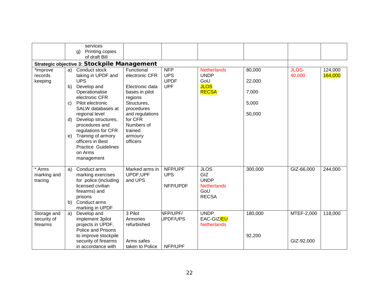|             |    | services                                    |                        |             |                             |         |            |         |
|-------------|----|---------------------------------------------|------------------------|-------------|-----------------------------|---------|------------|---------|
|             |    |                                             |                        |             |                             |         |            |         |
|             |    | Printing copies<br>q)<br>of draft Bill      |                        |             |                             |         |            |         |
|             |    |                                             |                        |             |                             |         |            |         |
|             |    | Strategic objective 3: Stockpile Management |                        |             |                             |         |            |         |
| *improve    |    | a) Conduct stock                            | Functional             | <b>NFP</b>  | <b>Netherlands</b>          | 80,000  | JLOS-      | 124,000 |
| records     |    | taking in UPDF and                          | electronic CFR         | <b>UPS</b>  | <b>UNDP</b>                 |         | 40,000     | 164,000 |
| keeping     |    | <b>UPS</b>                                  |                        | <b>UPDF</b> | GoU                         | 22,000  |            |         |
|             | b) | Develop and                                 | Electronic data        | <b>UPF</b>  | <b>JLOS</b><br><b>RECSA</b> |         |            |         |
|             |    | Operationalise<br>electronic CFR            | bases in pilot         |             |                             | 7,000   |            |         |
|             | C) | Pilot electronic                            | regions<br>Structures, |             |                             | 5,000   |            |         |
|             |    | SALW databases at                           | procedures             |             |                             |         |            |         |
|             |    | regional level                              | and regulations        |             |                             | 50,000  |            |         |
|             | d) | Develop structures,                         | for CFR                |             |                             |         |            |         |
|             |    | procedures and                              | Numbers of             |             |                             |         |            |         |
|             |    | regulations for CFR                         | trained                |             |                             |         |            |         |
|             | e) | Training of armory                          | armoury                |             |                             |         |            |         |
|             |    | officers in Best                            | officers               |             |                             |         |            |         |
|             |    | <b>Practice Guidelines</b>                  |                        |             |                             |         |            |         |
|             |    | on Arms                                     |                        |             |                             |         |            |         |
|             |    | management                                  |                        |             |                             |         |            |         |
|             |    |                                             |                        |             |                             |         |            |         |
| * Arms      | a) | Conduct arms                                | Marked arms in         | NFP/UPF     | <b>JLOS</b>                 | 300,000 | GIZ-66,000 | 244,000 |
| marking and |    | marking exercises                           | UPDF, UPF              | <b>UPS</b>  | GIZ<br><b>UNDP</b>          |         |            |         |
| tracing     |    | for police (including<br>licensed civilian  | and UPS                | NFP/UPDF    | <b>Netherlands</b>          |         |            |         |
|             |    | firearms) and                               |                        |             | GoU                         |         |            |         |
|             |    | prisons                                     |                        |             | <b>RECSA</b>                |         |            |         |
|             | b) | Conduct arms                                |                        |             |                             |         |            |         |
|             |    | marking in UPDF                             |                        |             |                             |         |            |         |
| Storage and | a) | Develop and                                 | 3 Pilot                | NFP/UPF/    | <b>UNDP</b>                 | 180,000 | MTEF-2,000 | 118,000 |
| security of |    | implement 3pilot                            | Armories               | UPDF/UPS    | EAC-GIZ/EU                  |         |            |         |
| firearms    |    | projects in UPDF,                           | refurbished            |             | <b>Netherlands</b>          |         |            |         |
|             |    | <b>Police and Prisons</b>                   |                        |             |                             |         |            |         |
|             |    | to improve stockpile                        |                        |             |                             | 92,200  |            |         |
|             |    | security of firearms                        | Arms safes             |             |                             |         | GIZ-92,000 |         |
|             |    | in accordance with                          | taken to Police        | NFP/UPF     |                             |         |            |         |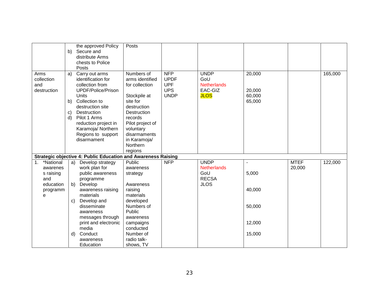|                                                                               | b)                             | the approved Policy<br>Secure and<br>distribute Arms<br>chests to Police<br>Posts                                                                                                                                                                    | Posts                                                                                                                                                                                                        |                                                                      |                                                                         |                                                                 |                       |         |
|-------------------------------------------------------------------------------|--------------------------------|------------------------------------------------------------------------------------------------------------------------------------------------------------------------------------------------------------------------------------------------------|--------------------------------------------------------------------------------------------------------------------------------------------------------------------------------------------------------------|----------------------------------------------------------------------|-------------------------------------------------------------------------|-----------------------------------------------------------------|-----------------------|---------|
| Arms<br>collection<br>and<br>destruction                                      | a)<br>b)<br>$\mathbf{C}$<br>d) | Carry out arms<br>identification for<br>collection from<br>UPDF/Police/Prison<br><b>Units</b><br>Collection to<br>destruction site<br>Destruction<br>Pilot 1 Arms<br>reduction project in<br>Karamoja/ Northern<br>Regions to support<br>disarmament | Numbers of<br>arms identified<br>for collection<br>Stockpile at<br>site for<br>destruction<br>Destruction<br>records<br>Pilot project of<br>voluntary<br>disarmaments<br>in Karamoja/<br>Northern<br>regions | <b>NFP</b><br><b>UPDF</b><br><b>UPF</b><br><b>UPS</b><br><b>UNDP</b> | <b>UNDP</b><br>GoU<br><b>Netherlands</b><br>EAC-GIZ<br><b>JLOS</b>      | 20,000<br>20,000<br>60,000<br>65,000                            |                       | 165,000 |
|                                                                               |                                | <b>Strategic objective 4: Public Education and Awareness Raising</b>                                                                                                                                                                                 |                                                                                                                                                                                                              |                                                                      |                                                                         |                                                                 |                       |         |
| *National<br>1.<br>awarenes<br>s raising<br>and<br>education<br>programm<br>e | a)<br>b)<br>C)<br>d)           | Develop strategy<br>work plan for<br>public awareness<br>programme<br>Develop<br>awareness raising<br>materials<br>Develop and<br>disseminate<br>awareness<br>messages through<br>print and electronic<br>media<br>Conduct<br>awareness<br>Education | Public<br>awareness<br>strategy<br>Awareness<br>raising<br>materials<br>developed<br>Numbers of<br>Public<br>awareness<br>campaigns<br>conducted<br>Number of<br>radio talk-<br>shows, TV                    | <b>NFP</b>                                                           | <b>UNDP</b><br><b>Netherlands</b><br>GoU<br><b>RECSA</b><br><b>JLOS</b> | $\blacksquare$<br>5,000<br>40,000<br>50,000<br>12,000<br>15,000 | <b>MTEF</b><br>20,000 | 122,000 |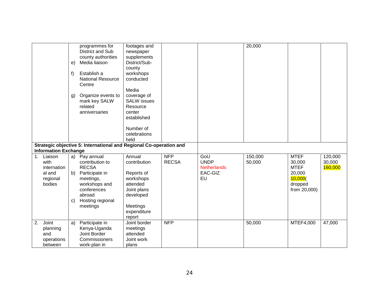|    | <b>Information Exchange</b>                                    | e)<br>f)<br>g)           | programmes for<br>District and Sub<br>county authorities<br>Media liaison<br>Establish a<br><b>National Resource</b><br>Centre<br>Organize events to<br>mark key SALW<br>related<br>anniversaries<br>Strategic objective 5: International and Regional Co-operation and | footages and<br>newspaper<br>supplements<br>District/Sub-<br>county<br>workshops<br>conducted<br>Media<br>coverage of<br><b>SALW</b> issues<br>Resource<br>center<br>established<br>Number of<br>celebrations<br>held |                            |                                                           | 20,000            |                                                                                      |                              |
|----|----------------------------------------------------------------|--------------------------|-------------------------------------------------------------------------------------------------------------------------------------------------------------------------------------------------------------------------------------------------------------------------|-----------------------------------------------------------------------------------------------------------------------------------------------------------------------------------------------------------------------|----------------------------|-----------------------------------------------------------|-------------------|--------------------------------------------------------------------------------------|------------------------------|
| 1. | Liaison<br>with<br>internation<br>al and<br>regional<br>bodies | a)<br>b)<br>$\mathbf{C}$ | Pay annual<br>contribution to<br><b>RECSA</b><br>Participate in<br>meetings,<br>workshops and<br>conferences<br>abroad<br>Hosting regional<br>meetings                                                                                                                  | Annual<br>contribution<br>Reports of<br>workshops<br>attended<br>Joint plans<br>developed<br>Meetings<br>expenditure<br>report                                                                                        | <b>NFP</b><br><b>RECSA</b> | GoU<br><b>UNDP</b><br><b>Netherlands</b><br>EAC-GIZ<br>EU | 150,000<br>50,000 | <b>MTEF</b><br>30,000<br><b>MTEF</b><br>20,000<br>10,000(<br>dropped<br>from 20,000) | 120,000<br>30,000<br>160,000 |
| 2. | Joint<br>planning<br>and<br>operations<br>between              | a)                       | Participate in<br>Kenya-Uganda<br>Joint Border<br>Commissioners<br>work-plan in                                                                                                                                                                                         | Joint border<br>meetings<br>attended<br>Joint work<br>plans                                                                                                                                                           | <b>NFP</b>                 |                                                           | 50,000            | MTEF4,000                                                                            | 47,000                       |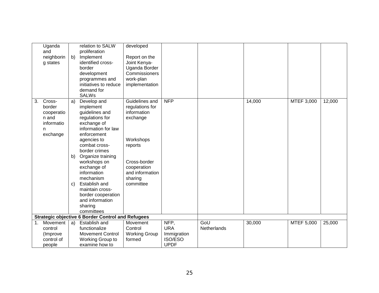|    | Uganda<br>and<br>neighborin<br>g states                                | b)                       | relation to SALW<br>proliferation<br>Implement<br>identified cross-<br>border<br>development<br>programmes and<br>initiatives to reduce<br>demand for<br><b>SALWs</b>                                                                                                                                                                                     | developed<br>Report on the<br>Joint Kenya-<br>Uganda Border<br>Commissioners<br>work-plan<br>implementation                                                    |                                                             |                    |        |            |        |
|----|------------------------------------------------------------------------|--------------------------|-----------------------------------------------------------------------------------------------------------------------------------------------------------------------------------------------------------------------------------------------------------------------------------------------------------------------------------------------------------|----------------------------------------------------------------------------------------------------------------------------------------------------------------|-------------------------------------------------------------|--------------------|--------|------------|--------|
| 3. | Cross-<br>border<br>cooperatio<br>n and<br>informatio<br>n<br>exchange | a)<br>b)<br>$\mathsf{C}$ | Develop and<br>implement<br>guidelines and<br>regulations for<br>exchange of<br>information for law<br>enforcement<br>agencies to<br>combat cross-<br>border crimes<br>Organize training<br>workshops on<br>exchange of<br>information<br>mechanism<br>Establish and<br>maintain cross-<br>border cooperation<br>and information<br>sharing<br>committees | Guidelines and<br>regulations for<br>information<br>exchange<br>Workshops<br>reports<br>Cross-border<br>cooperation<br>and information<br>sharing<br>committee | <b>NFP</b>                                                  |                    | 14,000 | MTEF 3,000 | 12,000 |
|    |                                                                        |                          | <b>Strategic objective 6 Border Control and Refugees</b>                                                                                                                                                                                                                                                                                                  |                                                                                                                                                                |                                                             |                    |        |            |        |
| 1. | Movement<br>control<br>(Improve<br>control of<br>people                | a)                       | Establish and<br>functionalize<br><b>Movement Control</b><br>Working Group to<br>examine how to                                                                                                                                                                                                                                                           | Movement<br>Control<br><b>Working Group</b><br>formed                                                                                                          | NFP,<br><b>URA</b><br>Immigration<br>ISO/ESO<br><b>UPDF</b> | GoU<br>Netherlands | 30,000 | MTEF 5,000 | 25,000 |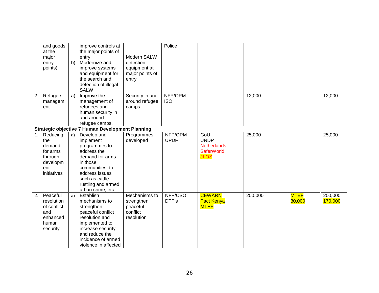|    | and goods<br>at the<br>major<br>entry<br>points)                                   | b) | improve controls at<br>the major points of<br>entry<br>Modernize and<br>improve systems<br>and equipment for<br>the search and<br>detection of illegal<br><b>SALW</b>                   | Modern SALW<br>detection<br>equipment at<br>major points of<br>entry | Police                 |                                                                              |         |                       |                    |
|----|------------------------------------------------------------------------------------|----|-----------------------------------------------------------------------------------------------------------------------------------------------------------------------------------------|----------------------------------------------------------------------|------------------------|------------------------------------------------------------------------------|---------|-----------------------|--------------------|
| 2. | Refugee<br>managem<br>ent                                                          | a) | Improve the<br>management of<br>refugees and<br>human security in<br>and around<br>refugee camps.                                                                                       | Security in and<br>around refugee<br>camps                           | NFP/OPM<br><b>ISO</b>  |                                                                              | 12,000  |                       | 12,000             |
|    |                                                                                    |    | <b>Strategic objective 7 Human Development Planning</b>                                                                                                                                 |                                                                      |                        |                                                                              |         |                       |                    |
| 1. | Reducing<br>the<br>demand<br>for arms<br>through<br>developm<br>ent<br>initiatives | a) | Develop and<br>implement<br>programmes to<br>address the<br>demand for arms<br>in those<br>communities to<br>address issues<br>such as cattle<br>rustling and armed<br>urban crime, etc | Programmes<br>developed                                              | NFP/OPM<br><b>UPDF</b> | GoU<br><b>UNDP</b><br><b>Netherlands</b><br><b>SaferWorld</b><br><b>JLOS</b> | 25,000  |                       | 25,000             |
| 2. | Peaceful<br>resolution<br>of conflict<br>and<br>enhanced<br>human<br>security      | a) | Establish<br>mechanisms to<br>strengthen<br>peaceful conflict<br>resolution and<br>implemented to<br>increase security<br>and reduce the<br>incidence of armed<br>violence in affected  | Mechanisms to<br>strengthen<br>peaceful<br>conflict<br>resolution    | NFP/CSO<br>DTF's       | <b>CEWARN</b><br><b>Pact Kenya</b><br><b>MTEF</b>                            | 200,000 | <b>MTEF</b><br>30,000 | 200,000<br>170,000 |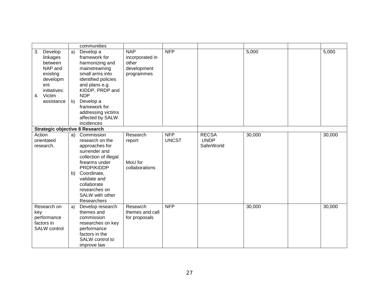|                                                                                                                              |          | communities                                                                                                                                                                                                                                       |                                                                     |                            |                                           |        |        |
|------------------------------------------------------------------------------------------------------------------------------|----------|---------------------------------------------------------------------------------------------------------------------------------------------------------------------------------------------------------------------------------------------------|---------------------------------------------------------------------|----------------------------|-------------------------------------------|--------|--------|
| 3.<br>Develop<br>linkages<br>between<br>NAP and<br>existing<br>developm<br>ent<br>initiatives:<br>Victim<br>4.<br>assistance | a)<br>b) | Develop a<br>framework for<br>harmonizing and<br>mainstreaming<br>small arms into<br>identified policies<br>and plans e.g.<br>KIDDP, PRDP and<br><b>NDP</b><br>Develop a<br>framework for<br>addressing victims<br>affected by SALW<br>incidences | <b>NAP</b><br>incorporated in<br>other<br>development<br>programmes | <b>NFP</b>                 |                                           | 5,000  | 5,000  |
| <b>Strategic objective 8 Research</b>                                                                                        |          |                                                                                                                                                                                                                                                   |                                                                     |                            |                                           |        |        |
| Action<br>orientated<br>research.                                                                                            | b)       | a) Commission<br>research on the<br>approaches for<br>surrender and<br>collection of illegal<br>firearms under<br>PRDP/KIDDP<br>Coordinate,<br>validate and<br>collaborate<br>researches on<br>SALW with other<br>Researchers                     | Research<br>report<br>MoU for<br>collaborations                     | <b>NFP</b><br><b>UNCST</b> | <b>RECSA</b><br><b>UNDP</b><br>SaferWorld | 30,000 | 30,000 |
| Research on<br>key<br>performance<br>factors in<br>SALW control                                                              | a)       | Develop research<br>themes and<br>commission<br>researches on key<br>performance<br>factors in the<br>SALW control to<br>improve law                                                                                                              | Research<br>themes and call<br>for proposals                        | <b>NFP</b>                 |                                           | 30,000 | 30,000 |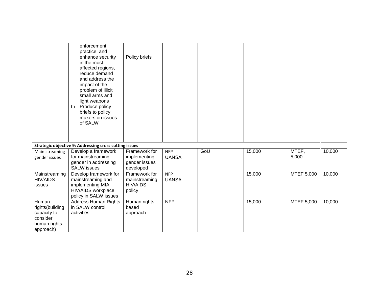|                                                                                  | enforcement<br>practice and<br>enhance security<br>in the most<br>affected regions,<br>reduce demand<br>and address the<br>impact of the<br>problem of illicit<br>small arms and<br>light weapons<br>Produce policy<br>b)<br>briefs to policy<br>makers on issues<br>of SALW | Policy briefs                                               |                            |     |        |                |        |
|----------------------------------------------------------------------------------|------------------------------------------------------------------------------------------------------------------------------------------------------------------------------------------------------------------------------------------------------------------------------|-------------------------------------------------------------|----------------------------|-----|--------|----------------|--------|
|                                                                                  | Strategic objective 9: Addressing cross cutting issues                                                                                                                                                                                                                       |                                                             |                            |     |        |                |        |
| Main streaming<br>gender issues                                                  | Develop a framework<br>for mainstreaming<br>gender in addressing<br><b>SALW</b> issues                                                                                                                                                                                       | Framework for<br>implementing<br>gender issues<br>developed | <b>NFP</b><br><b>UANSA</b> | GoU | 15,000 | MTEF,<br>5,000 | 10,000 |
| Mainstreaming<br><b>HIV/AIDS</b><br>issues                                       | Develop framework for<br>mainstreaming and<br>implementing MIA<br>HIV/AIDS workplace<br>policy in SALW issues                                                                                                                                                                | Framework for<br>mainstreaming<br><b>HIV/AIDS</b><br>policy | <b>NFP</b><br><b>UANSA</b> |     | 15,000 | MTEF 5,000     | 10,000 |
| Human<br>rights(building<br>capacity to<br>consider<br>human rights<br>approach) | <b>Address Human Rights</b><br>in SALW control<br>activities                                                                                                                                                                                                                 | Human rights<br>based<br>approach                           | <b>NFP</b>                 |     | 15,000 | MTEF 5,000     | 10,000 |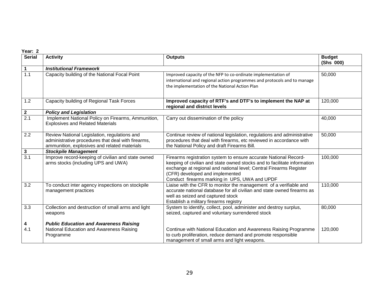| <b>Serial</b> | <b>Activity</b>                                                                                                                                    | <b>Outputs</b>                                                                                                                                                                                                                                                                                         | <b>Budget</b><br>(Shs 000) |
|---------------|----------------------------------------------------------------------------------------------------------------------------------------------------|--------------------------------------------------------------------------------------------------------------------------------------------------------------------------------------------------------------------------------------------------------------------------------------------------------|----------------------------|
| 1             | <b>Institutional Framework</b>                                                                                                                     |                                                                                                                                                                                                                                                                                                        |                            |
| 1.1           | Capacity building of the National Focal Point                                                                                                      | Improved capacity of the NFP to co-ordinate implementation of<br>international and regional action programmes and protocols and to manage<br>the implementation of the National Action Plan                                                                                                            | 50,000                     |
| 1.2           | Capacity building of Regional Task Forces                                                                                                          | Improved capacity of RTF's and DTF's to implement the NAP at<br>regional and district levels                                                                                                                                                                                                           | 120,000                    |
| $\mathbf{2}$  | <b>Policy and Legislation</b>                                                                                                                      |                                                                                                                                                                                                                                                                                                        |                            |
| 2.1           | Implement National Policy on Firearms, Ammunition,<br><b>Explosives and Related Materials</b>                                                      | Carry out dissemination of the policy                                                                                                                                                                                                                                                                  | 40,000                     |
| 2.2           | Review National Legislation, regulations and<br>administrative procedures that deal with firearms,<br>ammunition, explosives and related materials | Continue review of national legislation, regulations and administrative<br>procedures that deal with firearms, etc reviewed in accordance with<br>the National Policy and draft Firearms Bill.                                                                                                         | 50,000                     |
| 3             | <b>Stockpile Management</b>                                                                                                                        |                                                                                                                                                                                                                                                                                                        |                            |
| 3.1           | Improve record-keeping of civilian and state owned<br>arms stocks (including UPS and UWA)                                                          | Firearms registration system to ensure accurate National Record-<br>keeping of civilian and state owned stocks and to facilitate information<br>exchange at regional and national level; Central Firearms Register<br>(CFR) developed and implemented<br>Conduct firearms marking in UPS, UWA and UPDF | 100,000                    |
| 3.2           | To conduct inter agency inspections on stockpile<br>management practices                                                                           | Liaise with the CFR to monitor the management of a verifiable and<br>accurate national database for all civilian and state owned firearms as<br>well as seized and captured stock<br>Establish a military firearms registry                                                                            | 110,000                    |
| 3.3           | Collection and destruction of small arms and light<br>weapons                                                                                      | System to identify, collect, pool, administer and destroy surplus,<br>seized, captured and voluntary surrendered stock                                                                                                                                                                                 | 80,000                     |
| 4<br>4.1      | <b>Public Education and Awareness Raising</b><br>National Education and Awareness Raising<br>Programme                                             | Continue with National Education and Awareness Raising Programme<br>to curb proliferation, reduce demand and promote responsible<br>management of small arms and light weapons.                                                                                                                        | 120,000                    |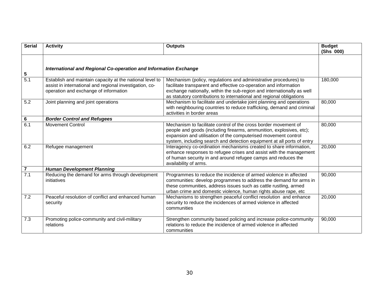| <b>Serial</b>  | <b>Activity</b>                                                                                                                                              | <b>Outputs</b>                                                                                                                                                                                                                                                                          | <b>Budget</b><br>(Shs 000) |
|----------------|--------------------------------------------------------------------------------------------------------------------------------------------------------------|-----------------------------------------------------------------------------------------------------------------------------------------------------------------------------------------------------------------------------------------------------------------------------------------|----------------------------|
| 5              | International and Regional Co-operation and Information Exchange                                                                                             |                                                                                                                                                                                                                                                                                         |                            |
| 5.1            | Establish and maintain capacity at the national level to<br>assist in international and regional investigation, co-<br>operation and exchange of information | Mechanism (policy, regulations and administrative procedures) to<br>facilitate transparent and effective co-operation and information<br>exchange nationally, within the sub-region and internationally as well<br>as statutory contributions to international and regional obligations | 180,000                    |
| 5.2            | Joint planning and joint operations                                                                                                                          | Mechanism to facilitate and undertake joint planning and operations<br>with neighbouring countries to reduce trafficking, demand and criminal<br>activities in border areas                                                                                                             | 80,000                     |
| 6              | <b>Border Control and Refugees</b>                                                                                                                           |                                                                                                                                                                                                                                                                                         |                            |
| 6.1            | <b>Movement Control</b>                                                                                                                                      | Mechanism to facilitate control of the cross border movement of<br>people and goods (including firearms, ammunition, explosives, etc);<br>expansion and utilisation of the computerised movement control<br>system, including search and detection equipment at all ports of entry      | 80,000                     |
| 6.2            | Refugee management                                                                                                                                           | Interagency co-ordination mechanisms created to share information,<br>enhance responses to refugee crises and assist with the management<br>of human security in and around refugee camps and reduces the<br>availability of arms.                                                      | 20,000                     |
| $\overline{7}$ | <b>Human Development Planning</b>                                                                                                                            |                                                                                                                                                                                                                                                                                         |                            |
| 7.1            | Reducing the demand for arms through development<br>initiatives                                                                                              | Programmes to reduce the incidence of armed violence in affected<br>communities: develop programmes to address the demand for arms in<br>these communities, address issues such as cattle rustling, armed<br>urban crime and domestic violence, human rights abuse rape, etc            | 90,000                     |
| 7.2            | Peaceful resolution of conflict and enhanced human<br>security                                                                                               | Mechanisms to strengthen peaceful conflict resolution and enhance<br>security to reduce the incidences of armed violence in affected<br>communities                                                                                                                                     | 20,000                     |
| 7.3            | Promoting police-community and civil-military<br>relations                                                                                                   | Strengthen community based policing and increase police-community<br>relations to reduce the incidence of armed violence in affected<br>communities                                                                                                                                     | 90,000                     |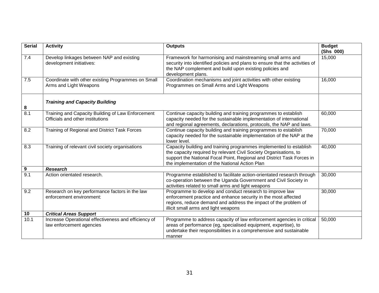| <b>Serial</b>    | <b>Activity</b>                                                                       | <b>Outputs</b>                                                                                                                                                                                                                                                      | <b>Budget</b><br>(Shs 000) |
|------------------|---------------------------------------------------------------------------------------|---------------------------------------------------------------------------------------------------------------------------------------------------------------------------------------------------------------------------------------------------------------------|----------------------------|
| 7.4              | Develop linkages between NAP and existing<br>development initiatives:                 | Framework for harmonising and mainstreaming small arms and<br>security into identified policies and plans to ensure that the activities of<br>the NAP complement and build upon existing policies and<br>development plans.                                         | 15,000                     |
| 7.5              | Coordinate with other existing Programmes on Small<br>Arms and Light Weapons          | Coordination mechanisms and joint activities with other existing<br>Programmes on Small Arms and Light Weapons                                                                                                                                                      | 16,000                     |
| 8                | <b>Training and Capacity Building</b>                                                 |                                                                                                                                                                                                                                                                     |                            |
| 8.1              | Training and Capacity Building of Law Enforcement<br>Officials and other institutions | Continue capacity building and training programmes to establish<br>capacity needed for the sustainable implementation of international<br>and regional agreements, declarations, protocols, the NAP and laws.                                                       | 60,000                     |
| 8.2              | Training of Regional and District Task Forces                                         | Continue capacity building and training programmes to establish<br>capacity needed for the sustainable implementation of the NAP at the<br>lower level.                                                                                                             | 70,000                     |
| 8.3              | Training of relevant civil society organisations                                      | Capacity building and training programmes implemented to establish<br>the capacity required by relevant Civil Society Organisations, to<br>support the National Focal Point, Regional and District Task Forces in<br>the implementation of the National Action Plan | 40,000                     |
| $\boldsymbol{9}$ | <b>Research</b>                                                                       |                                                                                                                                                                                                                                                                     |                            |
| 9.1              | Action orientated research.                                                           | Programme established to facilitate action-orientated research through<br>co-operation between the Uganda Government and Civil Society in<br>activities related to small arms and light weapons                                                                     | 30,000                     |
| 9.2              | Research on key performance factors in the law<br>enforcement environment:            | Programme to develop and conduct research to improve law<br>enforcement practice and enhance security in the most affected<br>regions, reduce demand and address the impact of the problem of<br>illicit small arms and light weapons                               | 30,000                     |
| 10               | <b>Critical Areas Support</b>                                                         |                                                                                                                                                                                                                                                                     |                            |
| 10.1             | Increase Operational effectiveness and efficiency of<br>law enforcement agencies      | Programme to address capacity of law enforcement agencies in critical<br>areas of performance (eg, specialised equipment, expertise), to<br>undertake their responsibilities in a comprehensive and sustainable<br>manner                                           | 50,000                     |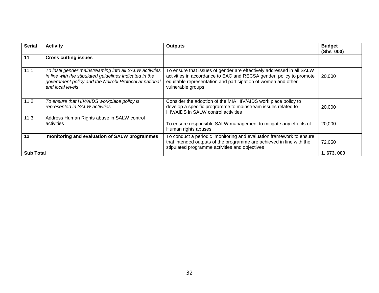| <b>Serial</b>    | <b>Activity</b>                                                                                                                                                                                  | <b>Outputs</b>                                                                                                                                                                                                                    | <b>Budget</b><br>(Shs 000) |
|------------------|--------------------------------------------------------------------------------------------------------------------------------------------------------------------------------------------------|-----------------------------------------------------------------------------------------------------------------------------------------------------------------------------------------------------------------------------------|----------------------------|
| 11               | <b>Cross cutting issues</b>                                                                                                                                                                      |                                                                                                                                                                                                                                   |                            |
| 11.1             | To instil gender mainstreaming into all SALW activities<br>in line with the stipulated guidelines indicated in the<br>government policy and the Nairobi Protocol at national<br>and local levels | To ensure that issues of gender are effectively addressed in all SALW<br>activities in accordance to EAC and RECSA gender policy to promote<br>equitable representation and participation of women and other<br>vulnerable groups | 20,000                     |
| 11.2             | To ensure that HIV/AIDS workplace policy is<br>represented in SALW activities                                                                                                                    | Consider the adoption of the MIA HIV/AIDS work place policy to<br>develop a specific programme to mainstream issues related to<br>HIV/AIDS in SALW control activities                                                             | 20,000                     |
| 11.3             | Address Human Rights abuse in SALW control<br>activities                                                                                                                                         | To ensure responsible SALW management to mitigate any effects of<br>Human rights abuses                                                                                                                                           | 20,000                     |
| 12               | monitoring and evaluation of SALW programmes                                                                                                                                                     | To conduct a periodic monitoring and evaluation framework to ensure<br>that intended outputs of the programme are achieved in line with the<br>stipulated programme activities and objectives                                     | 72.050                     |
| <b>Sub Total</b> |                                                                                                                                                                                                  |                                                                                                                                                                                                                                   | 1, 673, 000                |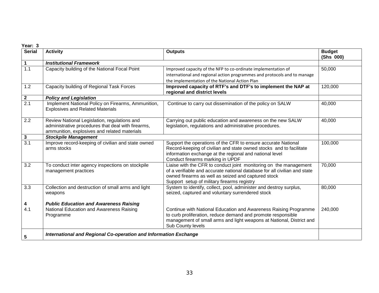| <b>Serial</b>    | <b>Activity</b>                                                                                                                                    | <b>Outputs</b>                                                                                                                                                                                                                                       | <b>Budget</b><br>(Shs 000) |
|------------------|----------------------------------------------------------------------------------------------------------------------------------------------------|------------------------------------------------------------------------------------------------------------------------------------------------------------------------------------------------------------------------------------------------------|----------------------------|
| 1                | <b>Institutional Framework</b>                                                                                                                     |                                                                                                                                                                                                                                                      |                            |
| $\overline{1.1}$ | Capacity building of the National Focal Point                                                                                                      | Improved capacity of the NFP to co-ordinate implementation of<br>international and regional action programmes and protocols and to manage<br>the implementation of the National Action Plan                                                          | 50,000                     |
| 1.2              | Capacity building of Regional Task Forces                                                                                                          | Improved capacity of RTF's and DTF's to implement the NAP at<br>regional and district levels                                                                                                                                                         | 120,000                    |
| $\mathbf{2}$     | <b>Policy and Legislation</b>                                                                                                                      |                                                                                                                                                                                                                                                      |                            |
| 2.1              | Implement National Policy on Firearms, Ammunition,<br><b>Explosives and Related Materials</b>                                                      | Continue to carry out dissemination of the policy on SALW                                                                                                                                                                                            | 40,000                     |
| 2.2              | Review National Legislation, regulations and<br>administrative procedures that deal with firearms,<br>ammunition, explosives and related materials | Carrying out public education and awareness on the new SALW<br>legislation, regulations and administrative procedures.                                                                                                                               | 40,000                     |
| 3                | <b>Stockpile Management</b>                                                                                                                        |                                                                                                                                                                                                                                                      |                            |
| 3.1              | Improve record-keeping of civilian and state owned<br>arms stocks                                                                                  | Support the operations of the CFR to ensure accurate National<br>Record-keeping of civilian and state owned stocks and to facilitate<br>information exchange at the regional and national level<br>Conduct firearms marking in UPDF                  | 100,000                    |
| 3.2              | To conduct inter agency inspections on stockpile<br>management practices                                                                           | Liaise with the CFR to conduct joint monitoring on the management<br>of a verifiable and accurate national database for all civilian and state<br>owned firearms as well as seized and captured stock<br>Support setup of military firearms registry | 70,000                     |
| 3.3              | Collection and destruction of small arms and light<br>weapons                                                                                      | System to identify, collect, pool, administer and destroy surplus,<br>seized, captured and voluntary surrendered stock                                                                                                                               | 80,000                     |
| 4                | <b>Public Education and Awareness Raising</b>                                                                                                      |                                                                                                                                                                                                                                                      |                            |
| 4.1              | National Education and Awareness Raising<br>Programme                                                                                              | Continue with National Education and Awareness Raising Programme<br>to curb proliferation, reduce demand and promote responsible<br>management of small arms and light weapons at National, District and<br>Sub County levels                        | 240,000                    |
| 5                | International and Regional Co-operation and Information Exchange                                                                                   |                                                                                                                                                                                                                                                      |                            |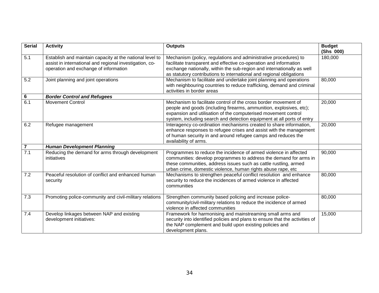| <b>Serial</b>  | <b>Activity</b>                                                                                                                                              | <b>Outputs</b>                                                                                                                                                                                                                                                                          | <b>Budget</b><br>(Shs 000) |
|----------------|--------------------------------------------------------------------------------------------------------------------------------------------------------------|-----------------------------------------------------------------------------------------------------------------------------------------------------------------------------------------------------------------------------------------------------------------------------------------|----------------------------|
| 5.1            | Establish and maintain capacity at the national level to<br>assist in international and regional investigation, co-<br>operation and exchange of information | Mechanism (policy, regulations and administrative procedures) to<br>facilitate transparent and effective co-operation and information<br>exchange nationally, within the sub-region and internationally as well<br>as statutory contributions to international and regional obligations | 180,000                    |
| 5.2            | Joint planning and joint operations                                                                                                                          | Mechanism to facilitate and undertake joint planning and operations<br>with neighbouring countries to reduce trafficking, demand and criminal<br>activities in border areas                                                                                                             | 80,000                     |
| $\bf 6$        | <b>Border Control and Refugees</b>                                                                                                                           |                                                                                                                                                                                                                                                                                         |                            |
| 6.1            | <b>Movement Control</b>                                                                                                                                      | Mechanism to facilitate control of the cross border movement of<br>people and goods (including firearms, ammunition, explosives, etc);<br>expansion and utilisation of the computerised movement control<br>system, including search and detection equipment at all ports of entry      | 20,000                     |
| 6.2            | Refugee management                                                                                                                                           | Interagency co-ordination mechanisms created to share information,<br>enhance responses to refugee crises and assist with the management<br>of human security in and around refugee camps and reduces the<br>availability of arms.                                                      | 20,000                     |
| $\overline{7}$ | <b>Human Development Planning</b>                                                                                                                            |                                                                                                                                                                                                                                                                                         |                            |
| 7.1            | Reducing the demand for arms through development<br>initiatives                                                                                              | Programmes to reduce the incidence of armed violence in affected<br>communities: develop programmes to address the demand for arms in<br>these communities, address issues such as cattle rustling, armed<br>urban crime, domestic violence, human rights abuse rape, etc               | 90,000                     |
| 7.2            | Peaceful resolution of conflict and enhanced human<br>security                                                                                               | Mechanisms to strengthen peaceful conflict resolution and enhance<br>security to reduce the incidences of armed violence in affected<br>communities                                                                                                                                     | 80,000                     |
| 7.3            | Promoting police-community and civil-military relations                                                                                                      | Strengthen community based policing and increase police-<br>community/civil-military relations to reduce the incidence of armed<br>violence in affected communities                                                                                                                     | 80,000                     |
| 7.4            | Develop linkages between NAP and existing<br>development initiatives:                                                                                        | Framework for harmonising and mainstreaming small arms and<br>security into identified policies and plans to ensure that the activities of<br>the NAP complement and build upon existing policies and<br>development plans.                                                             | 15,000                     |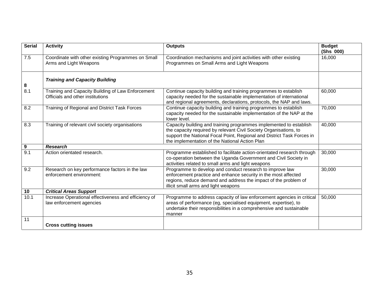| <b>Serial</b> | <b>Activity</b>                                                                       | <b>Outputs</b>                                                                                                                                                                                                                                                      | <b>Budget</b><br>(Shs 000) |
|---------------|---------------------------------------------------------------------------------------|---------------------------------------------------------------------------------------------------------------------------------------------------------------------------------------------------------------------------------------------------------------------|----------------------------|
| 7.5           | Coordinate with other existing Programmes on Small<br>Arms and Light Weapons          | Coordination mechanisms and joint activities with other existing<br>Programmes on Small Arms and Light Weapons                                                                                                                                                      | 16,000                     |
|               | <b>Training and Capacity Building</b>                                                 |                                                                                                                                                                                                                                                                     |                            |
| 8<br>8.1      | Training and Capacity Building of Law Enforcement<br>Officials and other institutions | Continue capacity building and training programmes to establish<br>capacity needed for the sustainable implementation of international<br>and regional agreements, declarations, protocols, the NAP and laws.                                                       | 60,000                     |
| 8.2           | Training of Regional and District Task Forces                                         | Continue capacity building and training programmes to establish<br>capacity needed for the sustainable implementation of the NAP at the<br>lower level.                                                                                                             | 70,000                     |
| 8.3           | Training of relevant civil society organisations                                      | Capacity building and training programmes implemented to establish<br>the capacity required by relevant Civil Society Organisations, to<br>support the National Focal Point, Regional and District Task Forces in<br>the implementation of the National Action Plan | 40,000                     |
| 9             | <b>Research</b>                                                                       |                                                                                                                                                                                                                                                                     |                            |
| 9.1           | Action orientated research.                                                           | Programme established to facilitate action-orientated research through<br>co-operation between the Uganda Government and Civil Society in<br>activities related to small arms and light weapons                                                                     | 30,000                     |
| 9.2           | Research on key performance factors in the law<br>enforcement environment:            | Programme to develop and conduct research to improve law<br>enforcement practice and enhance security in the most affected<br>regions, reduce demand and address the impact of the problem of<br>illicit small arms and light weapons                               | 30,000                     |
| 10            | <b>Critical Areas Support</b>                                                         |                                                                                                                                                                                                                                                                     |                            |
| 10.1          | Increase Operational effectiveness and efficiency of<br>law enforcement agencies      | Programme to address capacity of law enforcement agencies in critical<br>areas of performance (eg, specialised equipment, expertise), to<br>undertake their responsibilities in a comprehensive and sustainable<br>manner                                           | 50,000                     |
| 11            | <b>Cross cutting issues</b>                                                           |                                                                                                                                                                                                                                                                     |                            |
|               |                                                                                       |                                                                                                                                                                                                                                                                     |                            |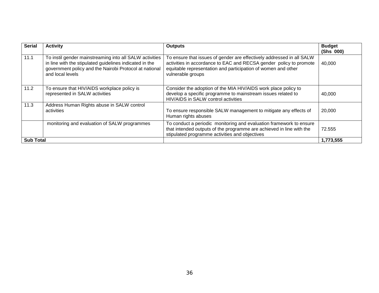| <b>Serial</b>    | <b>Activity</b>                                                                                                                                                                                  | <b>Outputs</b>                                                                                                                                                                                                                    | <b>Budget</b><br>(Shs 000) |
|------------------|--------------------------------------------------------------------------------------------------------------------------------------------------------------------------------------------------|-----------------------------------------------------------------------------------------------------------------------------------------------------------------------------------------------------------------------------------|----------------------------|
| 11.1             | To instil gender mainstreaming into all SALW activities<br>in line with the stipulated guidelines indicated in the<br>government policy and the Nairobi Protocol at national<br>and local levels | To ensure that issues of gender are effectively addressed in all SALW<br>activities in accordance to EAC and RECSA gender policy to promote<br>equitable representation and participation of women and other<br>vulnerable groups | 40,000                     |
| 11.2             | To ensure that HIV/AIDS workplace policy is<br>represented in SALW activities                                                                                                                    | Consider the adoption of the MIA HIV/AIDS work place policy to<br>develop a specific programme to mainstream issues related to<br>HIV/AIDS in SALW control activities                                                             | 40.000                     |
| 11.3             | Address Human Rights abuse in SALW control<br>activities                                                                                                                                         | To ensure responsible SALW management to mitigate any effects of<br>Human rights abuses                                                                                                                                           | 20,000                     |
|                  | monitoring and evaluation of SALW programmes                                                                                                                                                     | To conduct a periodic monitoring and evaluation framework to ensure<br>that intended outputs of the programme are achieved in line with the<br>stipulated programme activities and objectives                                     | 72.555                     |
| <b>Sub Total</b> |                                                                                                                                                                                                  |                                                                                                                                                                                                                                   | 1,773,555                  |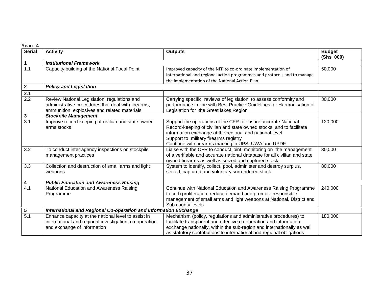| Year: 4          |                                                                                                                                                    |                                                                                                                                                                                                                                                                                         |                            |
|------------------|----------------------------------------------------------------------------------------------------------------------------------------------------|-----------------------------------------------------------------------------------------------------------------------------------------------------------------------------------------------------------------------------------------------------------------------------------------|----------------------------|
| <b>Serial</b>    | <b>Activity</b>                                                                                                                                    | <b>Outputs</b>                                                                                                                                                                                                                                                                          | <b>Budget</b><br>(Shs 000) |
| 1                | <b>Institutional Framework</b>                                                                                                                     |                                                                                                                                                                                                                                                                                         |                            |
| $\overline{1.1}$ | Capacity building of the National Focal Point                                                                                                      | Improved capacity of the NFP to co-ordinate implementation of                                                                                                                                                                                                                           | 50,000                     |
|                  |                                                                                                                                                    | international and regional action programmes and protocols and to manage                                                                                                                                                                                                                |                            |
|                  |                                                                                                                                                    | the implementation of the National Action Plan                                                                                                                                                                                                                                          |                            |
| $\mathbf{2}$     | <b>Policy and Legislation</b>                                                                                                                      |                                                                                                                                                                                                                                                                                         |                            |
| $\overline{2.1}$ |                                                                                                                                                    |                                                                                                                                                                                                                                                                                         |                            |
| 2.2              | Review National Legislation, regulations and<br>administrative procedures that deal with firearms,<br>ammunition, explosives and related materials | Carrying specific reviews of legislation to assess conformity and<br>performance in line with Best Practice Guidelines for Harmonisation of<br>Legislation for the Great lakes Region                                                                                                   | 30,000                     |
| 3                | <b>Stockpile Management</b>                                                                                                                        |                                                                                                                                                                                                                                                                                         |                            |
| $\overline{3.1}$ | Improve record-keeping of civilian and state owned                                                                                                 | Support the operations of the CFR to ensure accurate National                                                                                                                                                                                                                           | 120,000                    |
|                  | arms stocks                                                                                                                                        | Record-keeping of civilian and state owned stocks and to facilitate<br>information exchange at the regional and national level<br>Support to military firearms registry<br>Continue with firearms marking in UPS, UWA and UPDF                                                          |                            |
| 3.2              | To conduct inter agency inspections on stockpile<br>management practices                                                                           | Liaise with the CFR to conduct joint monitoring on the management<br>of a verifiable and accurate national database for all civilian and state<br>owned firearms as well as seized and captured stock                                                                                   | 30,000                     |
| 3.3              | Collection and destruction of small arms and light<br>weapons                                                                                      | System to identify, collect, pool, administer and destroy surplus,<br>seized, captured and voluntary surrendered stock                                                                                                                                                                  | 80,000                     |
| 4                | <b>Public Education and Awareness Raising</b>                                                                                                      |                                                                                                                                                                                                                                                                                         |                            |
| 4.1              | National Education and Awareness Raising<br>Programme                                                                                              | Continue with National Education and Awareness Raising Programme<br>to curb proliferation, reduce demand and promote responsible<br>management of small arms and light weapons at National, District and<br>Sub county levels                                                           | 240,000                    |
| 5                | International and Regional Co-operation and Information Exchange                                                                                   |                                                                                                                                                                                                                                                                                         |                            |
| 5.1              | Enhance capacity at the national level to assist in<br>international and regional investigation, co-operation<br>and exchange of information       | Mechanism (policy, regulations and administrative procedures) to<br>facilitate transparent and effective co-operation and information<br>exchange nationally, within the sub-region and internationally as well<br>as statutory contributions to international and regional obligations | 180,000                    |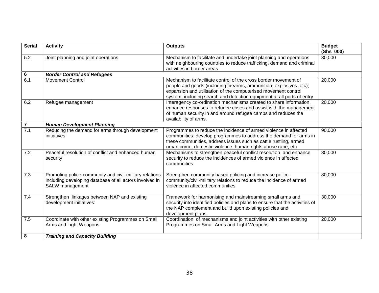| <b>Serial</b>    | <b>Activity</b>                                                                                                                       | <b>Outputs</b>                                                                                                                                                                                                                                                                     | <b>Budget</b><br>(Shs 000) |
|------------------|---------------------------------------------------------------------------------------------------------------------------------------|------------------------------------------------------------------------------------------------------------------------------------------------------------------------------------------------------------------------------------------------------------------------------------|----------------------------|
| 5.2              | Joint planning and joint operations                                                                                                   | Mechanism to facilitate and undertake joint planning and operations<br>with neighbouring countries to reduce trafficking, demand and criminal<br>activities in border areas                                                                                                        | 80,000                     |
| 6                | <b>Border Control and Refugees</b>                                                                                                    |                                                                                                                                                                                                                                                                                    |                            |
| $\overline{6.1}$ | <b>Movement Control</b>                                                                                                               | Mechanism to facilitate control of the cross border movement of<br>people and goods (including firearms, ammunition, explosives, etc);<br>expansion and utilisation of the computerised movement control<br>system, including search and detection equipment at all ports of entry | 20,000                     |
| 6.2              | Refugee management                                                                                                                    | Interagency co-ordination mechanisms created to share information,<br>enhance responses to refugee crises and assist with the management<br>of human security in and around refugee camps and reduces the<br>availability of arms.                                                 | 20,000                     |
| $\overline{7}$   | <b>Human Development Planning</b>                                                                                                     |                                                                                                                                                                                                                                                                                    |                            |
| $\overline{7.1}$ | Reducing the demand for arms through development<br>initiatives                                                                       | Programmes to reduce the incidence of armed violence in affected<br>communities: develop programmes to address the demand for arms in<br>these communities, address issues such as cattle rustling, armed<br>urban crime, domestic violence, human rights abuse rape, etc          | 90,000                     |
| 7.2              | Peaceful resolution of conflict and enhanced human<br>security                                                                        | Mechanisms to strengthen peaceful conflict resolution and enhance<br>security to reduce the incidences of armed violence in affected<br>communities                                                                                                                                | 80,000                     |
| 7.3              | Promoting police-community and civil-military relations<br>including developing database of all actors involved in<br>SALW management | Strengthen community based policing and increase police-<br>community/civil-military relations to reduce the incidence of armed<br>violence in affected communities                                                                                                                | 80,000                     |
| 7.4              | Strengthen linkages between NAP and existing<br>development initiatives:                                                              | Framework for harmonising and mainstreaming small arms and<br>security into identified policies and plans to ensure that the activities of<br>the NAP complement and build upon existing policies and<br>development plans.                                                        | 30,000                     |
| 7.5              | Coordinate with other existing Programmes on Small<br>Arms and Light Weapons                                                          | Coordination of mechanisms and joint activities with other existing<br>Programmes on Small Arms and Light Weapons                                                                                                                                                                  | 20,000                     |
| 8                | <b>Training and Capacity Building</b>                                                                                                 |                                                                                                                                                                                                                                                                                    |                            |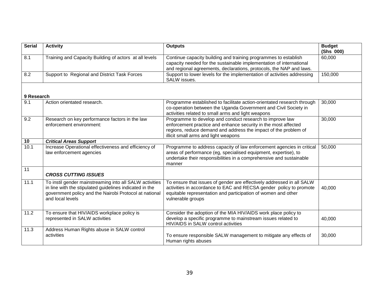| <b>Serial</b> | <b>Activity</b>                                                                                                                                                                                  | <b>Outputs</b>                                                                                                                                                                                                                        | <b>Budget</b><br>(Shs 000) |
|---------------|--------------------------------------------------------------------------------------------------------------------------------------------------------------------------------------------------|---------------------------------------------------------------------------------------------------------------------------------------------------------------------------------------------------------------------------------------|----------------------------|
| 8.1           | Training and Capacity Building of actors at all levels                                                                                                                                           | Continue capacity building and training programmes to establish<br>capacity needed for the sustainable implementation of international<br>and regional agreements, declarations, protocols, the NAP and laws.                         | 60,000                     |
| 8.2           | Support to Regional and District Task Forces                                                                                                                                                     | Support to lower levels for the implementation of activities addressing<br><b>SALW</b> issues.                                                                                                                                        | 150,000                    |
| 9 Research    |                                                                                                                                                                                                  |                                                                                                                                                                                                                                       |                            |
| 9.1           | Action orientated research.                                                                                                                                                                      | Programme established to facilitate action-orientated research through<br>co-operation between the Uganda Government and Civil Society in<br>activities related to small arms and light weapons                                       | 30,000                     |
| 9.2           | Research on key performance factors in the law<br>enforcement environment:                                                                                                                       | Programme to develop and conduct research to improve law<br>enforcement practice and enhance security in the most affected<br>regions, reduce demand and address the impact of the problem of<br>illicit small arms and light weapons | 30,000                     |
| 10            | <b>Critical Areas Support</b>                                                                                                                                                                    |                                                                                                                                                                                                                                       |                            |
| 10.1          | Increase Operational effectiveness and efficiency of<br>law enforcement agencies                                                                                                                 | Programme to address capacity of law enforcement agencies in critical<br>areas of performance (eg, specialised equipment, expertise), to<br>undertake their responsibilities in a comprehensive and sustainable<br>manner             | 50,000                     |
| 11            | <b>CROSS CUTTING ISSUES</b>                                                                                                                                                                      |                                                                                                                                                                                                                                       |                            |
| 11.1          | To instil gender mainstreaming into all SALW activities<br>in line with the stipulated guidelines indicated in the<br>government policy and the Nairobi Protocol at national<br>and local levels | To ensure that issues of gender are effectively addressed in all SALW<br>activities in accordance to EAC and RECSA gender policy to promote<br>equitable representation and participation of women and other<br>vulnerable groups     | 40,000                     |
| 11.2          | To ensure that HIV/AIDS workplace policy is<br>represented in SALW activities                                                                                                                    | Consider the adoption of the MIA HIV/AIDS work place policy to<br>develop a specific programme to mainstream issues related to<br>HIV/AIDS in SALW control activities                                                                 | 40,000                     |
| 11.3          | Address Human Rights abuse in SALW control<br>activities                                                                                                                                         | To ensure responsible SALW management to mitigate any effects of<br>Human rights abuses                                                                                                                                               | 30,000                     |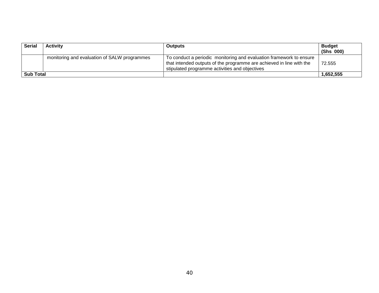| <b>Serial</b>    | <b>Activity</b>                              | <b>Outputs</b>                                                                                                                                                                                | <b>Budget</b><br>(Shs 000) |
|------------------|----------------------------------------------|-----------------------------------------------------------------------------------------------------------------------------------------------------------------------------------------------|----------------------------|
|                  | monitoring and evaluation of SALW programmes | To conduct a periodic monitoring and evaluation framework to ensure<br>that intended outputs of the programme are achieved in line with the<br>stipulated programme activities and objectives | 72.555                     |
| <b>Sub Total</b> |                                              |                                                                                                                                                                                               | 1.652.555                  |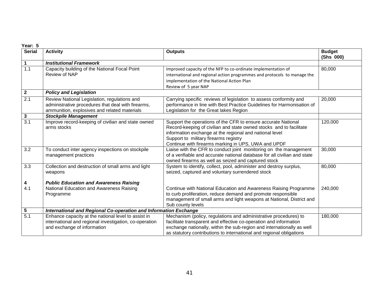| Year: 5       |                                                                                                                                                    |                                                                                                                                                                                                                                                                                                 |                            |
|---------------|----------------------------------------------------------------------------------------------------------------------------------------------------|-------------------------------------------------------------------------------------------------------------------------------------------------------------------------------------------------------------------------------------------------------------------------------------------------|----------------------------|
| <b>Serial</b> | <b>Activity</b>                                                                                                                                    | <b>Outputs</b>                                                                                                                                                                                                                                                                                  | <b>Budget</b><br>(Shs 000) |
| 1             | <b>Institutional Framework</b>                                                                                                                     |                                                                                                                                                                                                                                                                                                 |                            |
| 1.1           | Capacity building of the National Focal Point<br>Review of NAP                                                                                     | Improved capacity of the NFP to co-ordinate implementation of<br>international and regional action programmes and protocols to manage the<br>implementation of the National Action Plan<br>Review of 5 year NAP                                                                                 | 80,000                     |
| $\mathbf{2}$  | <b>Policy and Legislation</b>                                                                                                                      |                                                                                                                                                                                                                                                                                                 |                            |
| 2.1           | Review National Legislation, regulations and<br>administrative procedures that deal with firearms,<br>ammunition, explosives and related materials | Carrying specific reviews of legislation to assess conformity and<br>performance in line with Best Practice Guidelines for Harmonisation of<br>Legislation for the Great lakes Region                                                                                                           | 20,000                     |
| 3             | <b>Stockpile Management</b>                                                                                                                        |                                                                                                                                                                                                                                                                                                 |                            |
| 3.1           | Improve record-keeping of civilian and state owned<br>arms stocks                                                                                  | Support the operations of the CFR to ensure accurate National<br>Record-keeping of civilian and state owned stocks and to facilitate<br>information exchange at the regional and national level<br>Support to military firearms registry<br>Continue with firearms marking in UPS, UWA and UPDF | 120,000                    |
| 3.2           | To conduct inter agency inspections on stockpile<br>management practices                                                                           | Liaise with the CFR to conduct joint monitoring on the management<br>of a verifiable and accurate national database for all civilian and state<br>owned firearms as well as seized and captured stock                                                                                           | 30,000                     |
| 3.3           | Collection and destruction of small arms and light<br>weapons                                                                                      | System to identify, collect, pool, administer and destroy surplus,<br>seized, captured and voluntary surrendered stock                                                                                                                                                                          | 80,000                     |
| 4             | <b>Public Education and Awareness Raising</b>                                                                                                      |                                                                                                                                                                                                                                                                                                 |                            |
| 4.1           | National Education and Awareness Raising<br>Programme                                                                                              | Continue with National Education and Awareness Raising Programme<br>to curb proliferation, reduce demand and promote responsible<br>management of small arms and light weapons at National, District and<br>Sub county levels                                                                   | 240,000                    |
| 5             | International and Regional Co-operation and Information Exchange                                                                                   |                                                                                                                                                                                                                                                                                                 |                            |
| 5.1           | Enhance capacity at the national level to assist in<br>international and regional investigation, co-operation<br>and exchange of information       | Mechanism (policy, regulations and administrative procedures) to<br>facilitate transparent and effective co-operation and information<br>exchange nationally, within the sub-region and internationally as well<br>as statutory contributions to international and regional obligations         | 180,000                    |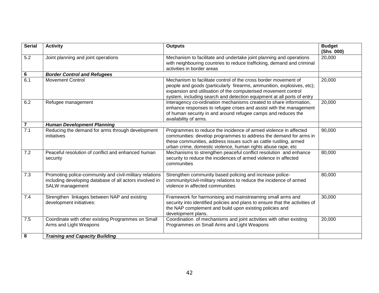| <b>Serial</b>    | <b>Activity</b>                                                                                                                       | <b>Outputs</b>                                                                                                                                                                                                                                                                        | <b>Budget</b><br>(Shs 000) |
|------------------|---------------------------------------------------------------------------------------------------------------------------------------|---------------------------------------------------------------------------------------------------------------------------------------------------------------------------------------------------------------------------------------------------------------------------------------|----------------------------|
| 5.2              | Joint planning and joint operations                                                                                                   | Mechanism to facilitate and undertake joint planning and operations<br>with neighbouring countries to reduce trafficking, demand and criminal<br>activities in border areas                                                                                                           | 20,000                     |
| 6                | <b>Border Control and Refugees</b>                                                                                                    |                                                                                                                                                                                                                                                                                       |                            |
| $\overline{6.1}$ | <b>Movement Control</b>                                                                                                               | Mechanism to facilitate control of the cross border movement of<br>people and goods (particularly firearms, ammunition, explosives, etc);<br>expansion and utilisation of the computerised movement control<br>system, including search and detection equipment at all ports of entry | 20,000                     |
| 6.2              | Refugee management                                                                                                                    | Interagency co-ordination mechanisms created to share information,<br>enhance responses to refugee crises and assist with the management<br>of human security in and around refugee camps and reduces the<br>availability of arms.                                                    | 20,000                     |
| $\overline{7}$   | <b>Human Development Planning</b>                                                                                                     |                                                                                                                                                                                                                                                                                       |                            |
| $\overline{7.1}$ | Reducing the demand for arms through development<br>initiatives                                                                       | Programmes to reduce the incidence of armed violence in affected<br>communities: develop programmes to address the demand for arms in<br>these communities, address issues such as cattle rustling, armed<br>urban crime, domestic violence, human rights abuse rape, etc             | 90,000                     |
| 7.2              | Peaceful resolution of conflict and enhanced human<br>security                                                                        | Mechanisms to strengthen peaceful conflict resolution and enhance<br>security to reduce the incidences of armed violence in affected<br>communities                                                                                                                                   | 80,000                     |
| 7.3              | Promoting police-community and civil-military relations<br>including developing database of all actors involved in<br>SALW management | Strengthen community based policing and increase police-<br>community/civil-military relations to reduce the incidence of armed<br>violence in affected communities                                                                                                                   | 80,000                     |
| 7.4              | Strengthen linkages between NAP and existing<br>development initiatives:                                                              | Framework for harmonising and mainstreaming small arms and<br>security into identified policies and plans to ensure that the activities of<br>the NAP complement and build upon existing policies and<br>development plans.                                                           | 30,000                     |
| 7.5              | Coordinate with other existing Programmes on Small<br>Arms and Light Weapons                                                          | Coordination of mechanisms and joint activities with other existing<br>Programmes on Small Arms and Light Weapons                                                                                                                                                                     | 20,000                     |
| 8                | <b>Training and Capacity Building</b>                                                                                                 |                                                                                                                                                                                                                                                                                       |                            |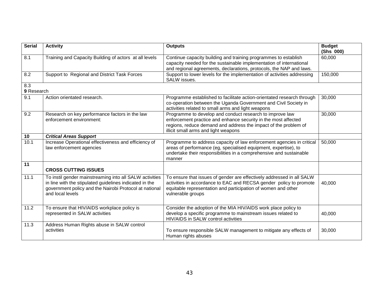| <b>Serial</b> | <b>Activity</b>                                                                                                                                                                                  | <b>Outputs</b>                                                                                                                                                                                                                        | <b>Budget</b><br>(Shs 000) |  |  |
|---------------|--------------------------------------------------------------------------------------------------------------------------------------------------------------------------------------------------|---------------------------------------------------------------------------------------------------------------------------------------------------------------------------------------------------------------------------------------|----------------------------|--|--|
| 8.1           | Training and Capacity Building of actors at all levels                                                                                                                                           | Continue capacity building and training programmes to establish<br>capacity needed for the sustainable implementation of international<br>and regional agreements, declarations, protocols, the NAP and laws.                         | 60,000                     |  |  |
| 8.2           | Support to Regional and District Task Forces                                                                                                                                                     | Support to lower levels for the implementation of activities addressing<br>SALW issues.                                                                                                                                               | 150,000                    |  |  |
| 8.3           | 9 Research                                                                                                                                                                                       |                                                                                                                                                                                                                                       |                            |  |  |
| 9.1           | Action orientated research.                                                                                                                                                                      | Programme established to facilitate action-orientated research through<br>co-operation between the Uganda Government and Civil Society in<br>activities related to small arms and light weapons                                       | 30,000                     |  |  |
| 9.2           | Research on key performance factors in the law<br>enforcement environment:                                                                                                                       | Programme to develop and conduct research to improve law<br>enforcement practice and enhance security in the most affected<br>regions, reduce demand and address the impact of the problem of<br>illicit small arms and light weapons | 30,000                     |  |  |
| 10            | <b>Critical Areas Support</b>                                                                                                                                                                    |                                                                                                                                                                                                                                       |                            |  |  |
| 10.1          | Increase Operational effectiveness and efficiency of<br>law enforcement agencies                                                                                                                 | Programme to address capacity of law enforcement agencies in critical<br>areas of performance (eg, specialised equipment, expertise), to<br>undertake their responsibilities in a comprehensive and sustainable<br>manner             | 50,000                     |  |  |
| 11            | <b>CROSS CUTTING ISSUES</b>                                                                                                                                                                      |                                                                                                                                                                                                                                       |                            |  |  |
| 11.1          | To instil gender mainstreaming into all SALW activities<br>in line with the stipulated guidelines indicated in the<br>government policy and the Nairobi Protocol at national<br>and local levels | To ensure that issues of gender are effectively addressed in all SALW<br>activities in accordance to EAC and RECSA gender policy to promote<br>equitable representation and participation of women and other<br>vulnerable groups     | 40,000                     |  |  |
| 11.2          | To ensure that HIV/AIDS workplace policy is<br>represented in SALW activities                                                                                                                    | Consider the adoption of the MIA HIV/AIDS work place policy to<br>develop a specific programme to mainstream issues related to<br>HIV/AIDS in SALW control activities                                                                 | 40,000                     |  |  |
| 11.3          | Address Human Rights abuse in SALW control<br>activities                                                                                                                                         | To ensure responsible SALW management to mitigate any effects of<br>Human rights abuses                                                                                                                                               | 30,000                     |  |  |